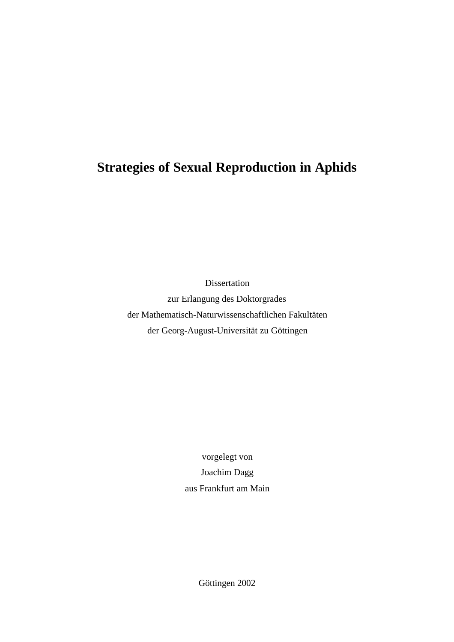# **Strategies of Sexual Reproduction in Aphids**

Dissertation zur Erlangung des Doktorgrades der Mathematisch-Naturwissenschaftlichen Fakultäten der Georg-August-Universität zu Göttingen

> vorgelegt von Joachim Dagg aus Frankfurt am Main

> > Göttingen 2002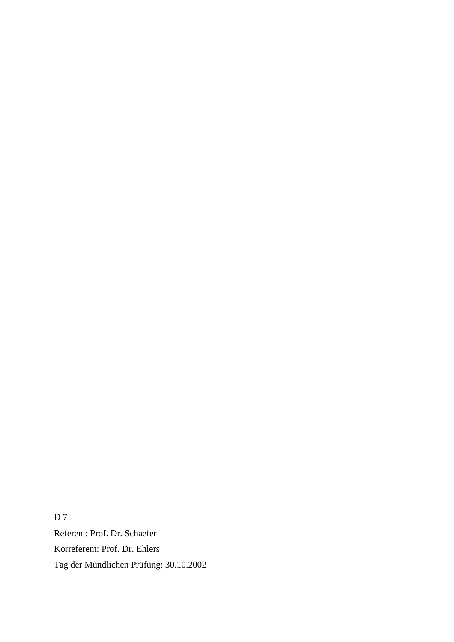D 7 Referent: Prof. Dr. Schaefer Korreferent: Prof. Dr. Ehlers Tag der Mündlichen Prüfung: 30.10.2002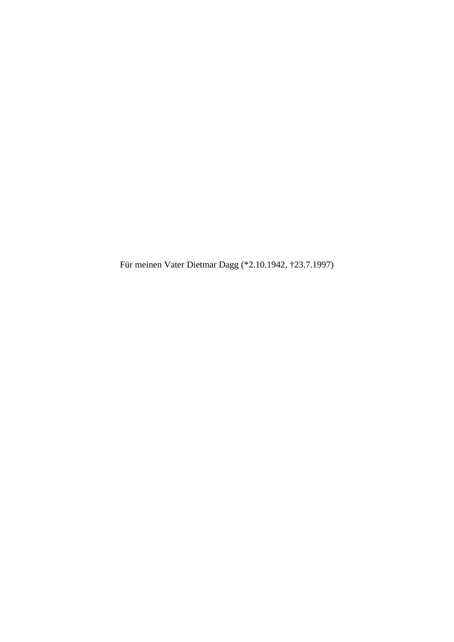Für meinen Vater Dietmar Dagg (\*2.10.1942, †23.7.1997)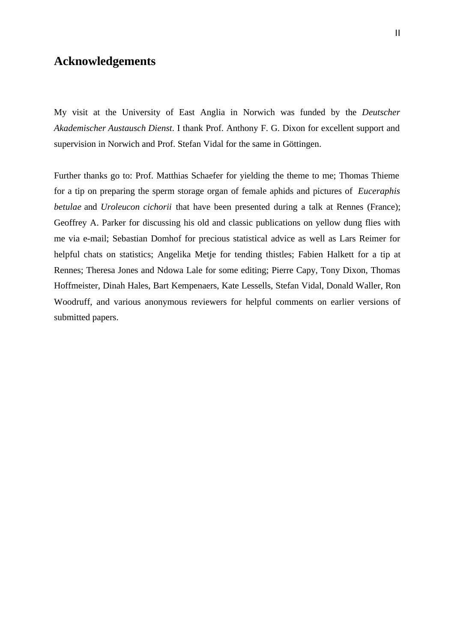# **Acknowledgements**

My visit at the University of East Anglia in Norwich was funded by the *Deutscher Akademischer Austausch Dienst*. I thank Prof. Anthony F. G. Dixon for excellent support and supervision in Norwich and Prof. Stefan Vidal for the same in Göttingen.

Further thanks go to: Prof. Matthias Schaefer for yielding the theme to me; Thomas Thieme for a tip on preparing the sperm storage organ of female aphids and pictures of *Euceraphis betulae* and *Uroleucon cichorii* that have been presented during a talk at Rennes (France); Geoffrey A. Parker for discussing his old and classic publications on yellow dung flies with me via e-mail; Sebastian Domhof for precious statistical advice as well as Lars Reimer for helpful chats on statistics; Angelika Metje for tending thistles; Fabien Halkett for a tip at Rennes; Theresa Jones and Ndowa Lale for some editing; Pierre Capy, Tony Dixon, Thomas Hoffmeister, Dinah Hales, Bart Kempenaers, Kate Lessells, Stefan Vidal, Donald Waller, Ron Woodruff, and various anonymous reviewers for helpful comments on earlier versions of submitted papers.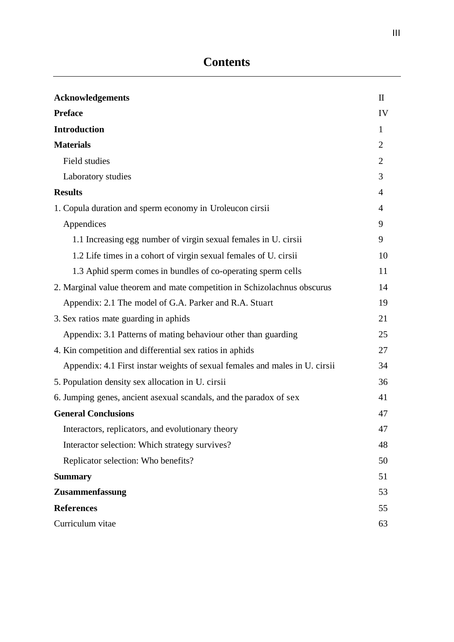| <b>Acknowledgements</b>                                                     | $\mathbf{I}$   |
|-----------------------------------------------------------------------------|----------------|
| <b>Preface</b>                                                              | IV             |
| <b>Introduction</b>                                                         | 1              |
| <b>Materials</b>                                                            | $\overline{2}$ |
| Field studies                                                               | $\overline{2}$ |
| Laboratory studies                                                          | 3              |
| <b>Results</b>                                                              | 4              |
| 1. Copula duration and sperm economy in Uroleucon cirsii                    | 4              |
| Appendices                                                                  | 9              |
| 1.1 Increasing egg number of virgin sexual females in U. cirsii             | 9              |
| 1.2 Life times in a cohort of virgin sexual females of U. cirsii            | 10             |
| 1.3 Aphid sperm comes in bundles of co-operating sperm cells                | 11             |
| 2. Marginal value theorem and mate competition in Schizolachnus obscurus    | 14             |
| Appendix: 2.1 The model of G.A. Parker and R.A. Stuart                      | 19             |
| 3. Sex ratios mate guarding in aphids                                       | 21             |
| Appendix: 3.1 Patterns of mating behaviour other than guarding              | 25             |
| 4. Kin competition and differential sex ratios in aphids                    | 27             |
| Appendix: 4.1 First instar weights of sexual females and males in U. cirsii | 34             |
| 5. Population density sex allocation in U. cirsii                           | 36             |
| 6. Jumping genes, ancient asexual scandals, and the paradox of sex          | 41             |
| <b>General Conclusions</b>                                                  | 47             |
| Interactors, replicators, and evolutionary theory                           | 47             |
| Interactor selection: Which strategy survives?                              | 48             |
| Replicator selection: Who benefits?                                         | 50             |
| <b>Summary</b>                                                              | 51             |
| Zusammenfassung                                                             | 53             |
| <b>References</b>                                                           | 55             |
| Curriculum vitae                                                            | 63             |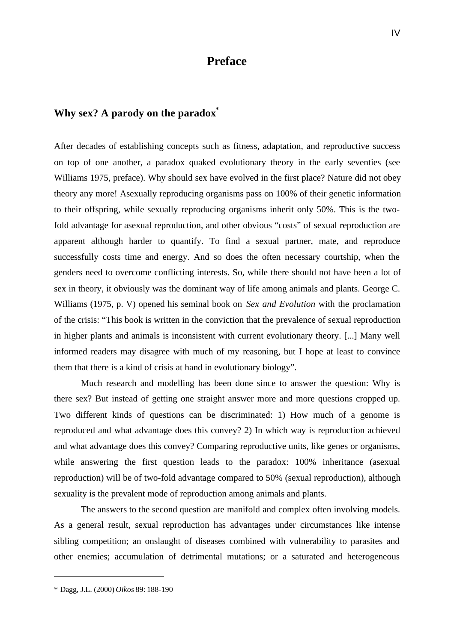# **Preface**

# **Why sex? A parody on the paradox\***

After decades of establishing concepts such as fitness, adaptation, and reproductive success on top of one another, a paradox quaked evolutionary theory in the early seventies (see Williams 1975, preface). Why should sex have evolved in the first place? Nature did not obey theory any more! Asexually reproducing organisms pass on 100% of their genetic information to their offspring, while sexually reproducing organisms inherit only 50%. This is the twofold advantage for asexual reproduction, and other obvious "costs" of sexual reproduction are apparent although harder to quantify. To find a sexual partner, mate, and reproduce successfully costs time and energy. And so does the often necessary courtship, when the genders need to overcome conflicting interests. So, while there should not have been a lot of sex in theory, it obviously was the dominant way of life among animals and plants. George C. Williams (1975, p. V) opened his seminal book on *Sex and Evolution* with the proclamation of the crisis: "This book is written in the conviction that the prevalence of sexual reproduction in higher plants and animals is inconsistent with current evolutionary theory. [...] Many well informed readers may disagree with much of my reasoning, but I hope at least to convince them that there is a kind of crisis at hand in evolutionary biology".

Much research and modelling has been done since to answer the question: Why is there sex? But instead of getting one straight answer more and more questions cropped up. Two different kinds of questions can be discriminated: 1) How much of a genome is reproduced and what advantage does this convey? 2) In which way is reproduction achieved and what advantage does this convey? Comparing reproductive units, like genes or organisms, while answering the first question leads to the paradox:  $100\%$  inheritance (asexual reproduction) will be of two-fold advantage compared to 50% (sexual reproduction), although sexuality is the prevalent mode of reproduction among animals and plants.

The answers to the second question are manifold and complex often involving models. As a general result, sexual reproduction has advantages under circumstances like intense sibling competition; an onslaught of diseases combined with vulnerability to parasites and other enemies; accumulation of detrimental mutations; or a saturated and heterogeneous

l

<sup>\*</sup> Dagg, J.L. (2000) *Oikos* 89: 188-190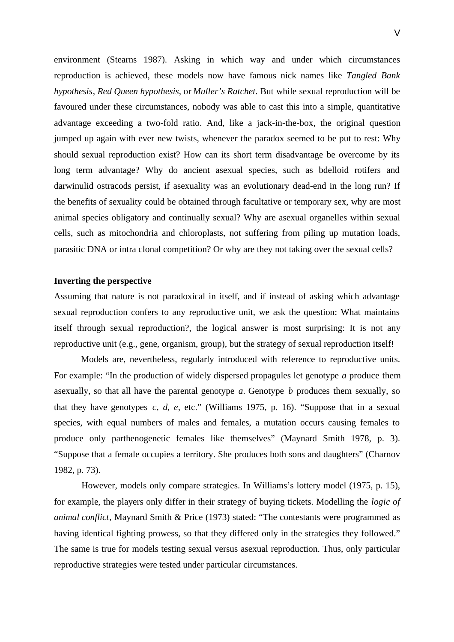environment (Stearns 1987). Asking in which way and under which circumstances reproduction is achieved, these models now have famous nick names like *Tangled Bank hypothesis*, *Red Queen hypothesis*, or *Muller's Ratchet*. But while sexual reproduction will be favoured under these circumstances, nobody was able to cast this into a simple, quantitative advantage exceeding a two-fold ratio. And, like a jack-in-the-box, the original question jumped up again with ever new twists, whenever the paradox seemed to be put to rest: Why should sexual reproduction exist? How can its short term disadvantage be overcome by its long term advantage? Why do ancient asexual species, such as bdelloid rotifers and darwinulid ostracods persist, if asexuality was an evolutionary dead-end in the long run? If the benefits of sexuality could be obtained through facultative or temporary sex, why are most animal species obligatory and continually sexual? Why are asexual organelles within sexual cells, such as mitochondria and chloroplasts, not suffering from piling up mutation loads, parasitic DNA or intra clonal competition? Or why are they not taking over the sexual cells?

#### **Inverting the perspective**

Assuming that nature is not paradoxical in itself, and if instead of asking which advantage sexual reproduction confers to any reproductive unit, we ask the question: What maintains itself through sexual reproduction?, the logical answer is most surprising: It is not any reproductive unit (e.g., gene, organism, group), but the strategy of sexual reproduction itself!

Models are, nevertheless, regularly introduced with reference to reproductive units. For example: "In the production of widely dispersed propagules let genotype *a* produce them asexually, so that all have the parental genotype *a*. Genotype *b* produces them sexually, so that they have genotypes  $c, d, e$ , etc." (Williams 1975, p. 16). "Suppose that in a sexual species, with equal numbers of males and females, a mutation occurs causing females to produce only parthenogenetic females like themselves" (Maynard Smith 1978, p. 3). "Suppose that a female occupies a territory. She produces both sons and daughters" (Charnov 1982, p. 73).

However, models only compare strategies. In Williams's lottery model (1975, p. 15), for example, the players only differ in their strategy of buying tickets. Modelling the *logic of animal conflict*, Maynard Smith & Price (1973) stated: "The contestants were programmed as having identical fighting prowess, so that they differed only in the strategies they followed." The same is true for models testing sexual versus asexual reproduction. Thus, only particular reproductive strategies were tested under particular circumstances.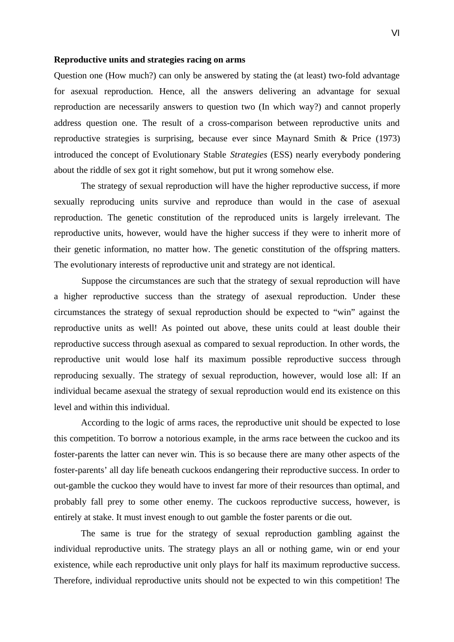#### **Reproductive units and strategies racing on arms**

Question one (How much?) can only be answered by stating the (at least) two-fold advantage for asexual reproduction. Hence, all the answers delivering an advantage for sexual reproduction are necessarily answers to question two (In which way?) and cannot properly address question one. The result of a cross-comparison between reproductive units and reproductive strategies is surprising, because ever since Maynard Smith & Price (1973) introduced the concept of Evolutionary Stable *Strategies* (ESS) nearly everybody pondering about the riddle of sex got it right somehow, but put it wrong somehow else.

The strategy of sexual reproduction will have the higher reproductive success, if more sexually reproducing units survive and reproduce than would in the case of asexual reproduction. The genetic constitution of the reproduced units is largely irrelevant. The reproductive units, however, would have the higher success if they were to inherit more of their genetic information, no matter how. The genetic constitution of the offspring matters. The evolutionary interests of reproductive unit and strategy are not identical.

Suppose the circumstances are such that the strategy of sexual reproduction will have a higher reproductive success than the strategy of asexual reproduction. Under these circumstances the strategy of sexual reproduction should be expected to "win" against the reproductive units as well! As pointed out above, these units could at least double their reproductive success through asexual as compared to sexual reproduction. In other words, the reproductive unit would lose half its maximum possible reproductive success through reproducing sexually. The strategy of sexual reproduction, however, would lose all: If an individual became asexual the strategy of sexual reproduction would end its existence on this level and within this individual.

According to the logic of arms races, the reproductive unit should be expected to lose this competition. To borrow a notorious example, in the arms race between the cuckoo and its foster-parents the latter can never win. This is so because there are many other aspects of the foster-parents' all day life beneath cuckoos endangering their reproductive success. In order to out-gamble the cuckoo they would have to invest far more of their resources than optimal, and probably fall prey to some other enemy. The cuckoos reproductive success, however, is entirely at stake. It must invest enough to out gamble the foster parents or die out.

The same is true for the strategy of sexual reproduction gambling against the individual reproductive units. The strategy plays an all or nothing game, win or end your existence, while each reproductive unit only plays for half its maximum reproductive success. Therefore, individual reproductive units should not be expected to win this competition! The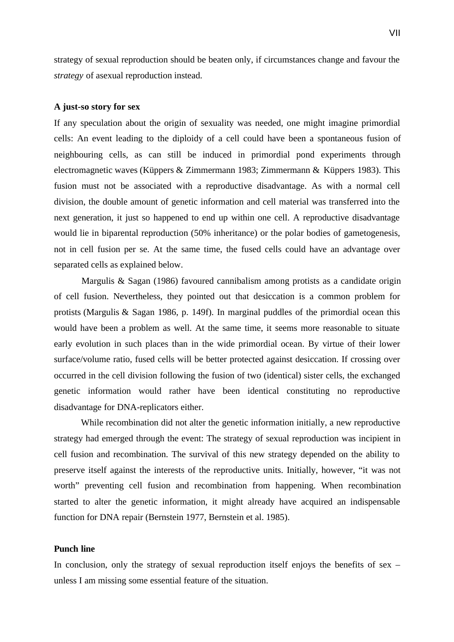strategy of sexual reproduction should be beaten only, if circumstances change and favour the *strategy* of asexual reproduction instead.

#### **A just-so story for sex**

If any speculation about the origin of sexuality was needed, one might imagine primordial cells: An event leading to the diploidy of a cell could have been a spontaneous fusion of neighbouring cells, as can still be induced in primordial pond experiments through electromagnetic waves (Küppers & Zimmermann 1983; Zimmermann & Küppers 1983). This fusion must not be associated with a reproductive disadvantage. As with a normal cell division, the double amount of genetic information and cell material was transferred into the next generation, it just so happened to end up within one cell. A reproductive disadvantage would lie in biparental reproduction (50% inheritance) or the polar bodies of gametogenesis, not in cell fusion per se. At the same time, the fused cells could have an advantage over separated cells as explained below.

Margulis & Sagan (1986) favoured cannibalism among protists as a candidate origin of cell fusion. Nevertheless, they pointed out that desiccation is a common problem for protists (Margulis & Sagan 1986, p. 149f). In marginal puddles of the primordial ocean this would have been a problem as well. At the same time, it seems more reasonable to situate early evolution in such places than in the wide primordial ocean. By virtue of their lower surface/volume ratio, fused cells will be better protected against desiccation. If crossing over occurred in the cell division following the fusion of two (identical) sister cells, the exchanged genetic information would rather have been identical constituting no reproductive disadvantage for DNA-replicators either.

While recombination did not alter the genetic information initially, a new reproductive strategy had emerged through the event: The strategy of sexual reproduction was incipient in cell fusion and recombination. The survival of this new strategy depended on the ability to preserve itself against the interests of the reproductive units. Initially, however, "it was not worth" preventing cell fusion and recombination from happening. When recombination started to alter the genetic information, it might already have acquired an indispensable function for DNA repair (Bernstein 1977, Bernstein et al. 1985).

### **Punch line**

In conclusion, only the strategy of sexual reproduction itself enjoys the benefits of sex – unless I am missing some essential feature of the situation.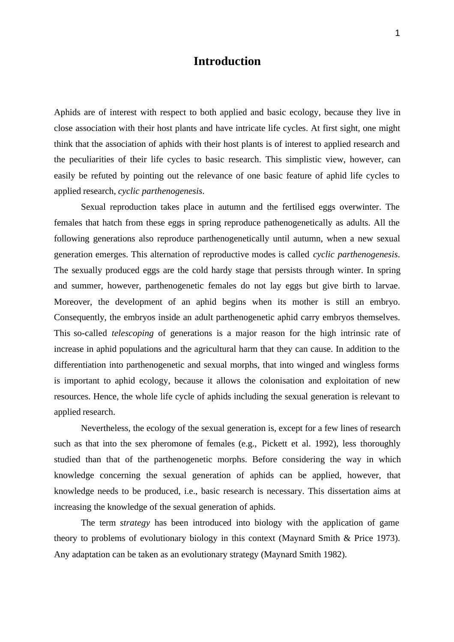# **Introduction**

Aphids are of interest with respect to both applied and basic ecology, because they live in close association with their host plants and have intricate life cycles. At first sight, one might think that the association of aphids with their host plants is of interest to applied research and the peculiarities of their life cycles to basic research. This simplistic view, however, can easily be refuted by pointing out the relevance of one basic feature of aphid life cycles to applied research, *cyclic parthenogenesis*.

Sexual reproduction takes place in autumn and the fertilised eggs overwinter. The females that hatch from these eggs in spring reproduce pathenogenetically as adults. All the following generations also reproduce parthenogenetically until autumn, when a new sexual generation emerges. This alternation of reproductive modes is called *cyclic parthenogenesis*. The sexually produced eggs are the cold hardy stage that persists through winter. In spring and summer, however, parthenogenetic females do not lay eggs but give birth to larvae. Moreover, the development of an aphid begins when its mother is still an embryo. Consequently, the embryos inside an adult parthenogenetic aphid carry embryos themselves. This so-called *telescoping* of generations is a major reason for the high intrinsic rate of increase in aphid populations and the agricultural harm that they can cause. In addition to the differentiation into parthenogenetic and sexual morphs, that into winged and wingless forms is important to aphid ecology, because it allows the colonisation and exploitation of new resources. Hence, the whole life cycle of aphids including the sexual generation is relevant to applied research.

Nevertheless, the ecology of the sexual generation is, except for a few lines of research such as that into the sex pheromone of females (e.g., Pickett et al. 1992), less thoroughly studied than that of the parthenogenetic morphs. Before considering the way in which knowledge concerning the sexual generation of aphids can be applied, however, that knowledge needs to be produced, i.e., basic research is necessary. This dissertation aims at increasing the knowledge of the sexual generation of aphids.

The term *strategy* has been introduced into biology with the application of game theory to problems of evolutionary biology in this context (Maynard Smith & Price 1973). Any adaptation can be taken as an evolutionary strategy (Maynard Smith 1982).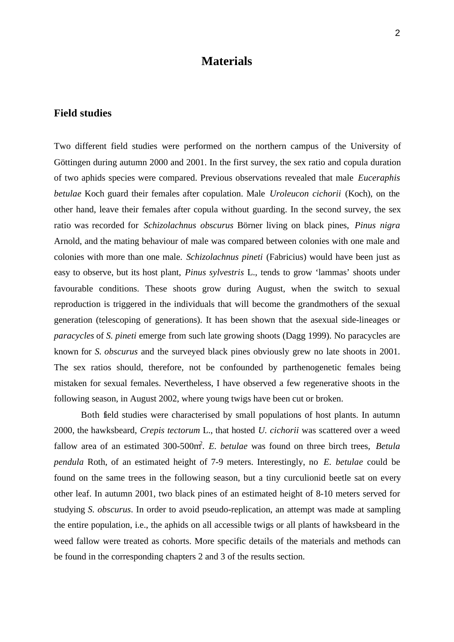# **Materials**

### **Field studies**

Two different field studies were performed on the northern campus of the University of Göttingen during autumn 2000 and 2001. In the first survey, the sex ratio and copula duration of two aphids species were compared. Previous observations revealed that male *Euceraphis betulae* Koch guard their females after copulation. Male *Uroleucon cichorii* (Koch), on the other hand, leave their females after copula without guarding. In the second survey, the sex ratio was recorded for *Schizolachnus obscurus* Börner living on black pines, *Pinus nigra* Arnold, and the mating behaviour of male was compared between colonies with one male and colonies with more than one male. *Schizolachnus pineti* (Fabricius) would have been just as easy to observe, but its host plant, *Pinus sylvestris* L., tends to grow 'lammas' shoots under favourable conditions. These shoots grow during August, when the switch to sexual reproduction is triggered in the individuals that will become the grandmothers of the sexual generation (telescoping of generations). It has been shown that the asexual side-lineages or *paracycles* of *S. pineti* emerge from such late growing shoots (Dagg 1999). No paracycles are known for *S. obscurus* and the surveyed black pines obviously grew no late shoots in 2001. The sex ratios should, therefore, not be confounded by parthenogenetic females being mistaken for sexual females. Nevertheless, I have observed a few regenerative shoots in the following season, in August 2002, where young twigs have been cut or broken.

Both field studies were characterised by small populations of host plants. In autumn 2000, the hawksbeard, *Crepis tectorum* L., that hosted *U. cichorii* was scattered over a weed fallow area of an estimated 300-500m<sup>2</sup>. E. betulae was found on three birch trees, Betula *pendula* Roth, of an estimated height of 7-9 meters. Interestingly, no *E. betulae* could be found on the same trees in the following season, but a tiny curculionid beetle sat on every other leaf. In autumn 2001, two black pines of an estimated height of 8-10 meters served for studying *S. obscurus*. In order to avoid pseudo-replication, an attempt was made at sampling the entire population, i.e., the aphids on all accessible twigs or all plants of hawksbeard in the weed fallow were treated as cohorts. More specific details of the materials and methods can be found in the corresponding chapters 2 and 3 of the results section.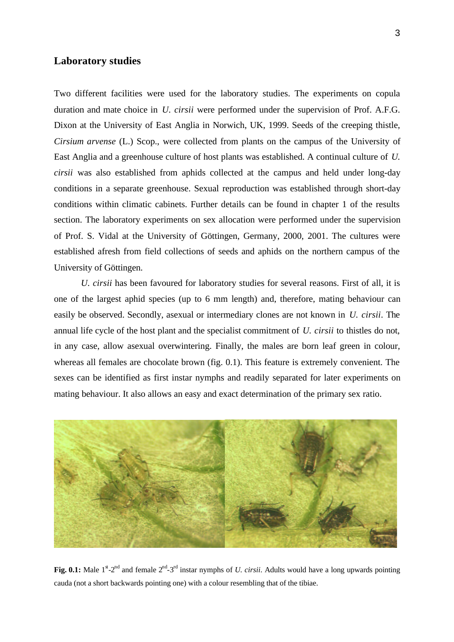### **Laboratory studies**

Two different facilities were used for the laboratory studies. The experiments on copula duration and mate choice in *U. cirsii* were performed under the supervision of Prof. A.F.G. Dixon at the University of East Anglia in Norwich, UK, 1999. Seeds of the creeping thistle, *Cirsium arvense* (L.) Scop., were collected from plants on the campus of the University of East Anglia and a greenhouse culture of host plants was established. A continual culture of *U. cirsii* was also established from aphids collected at the campus and held under long-day conditions in a separate greenhouse. Sexual reproduction was established through short-day conditions within climatic cabinets. Further details can be found in chapter 1 of the results section. The laboratory experiments on sex allocation were performed under the supervision of Prof. S. Vidal at the University of Göttingen, Germany, 2000, 2001. The cultures were established afresh from field collections of seeds and aphids on the northern campus of the University of Göttingen.

*U. cirsii* has been favoured for laboratory studies for several reasons. First of all, it is one of the largest aphid species (up to 6 mm length) and, therefore, mating behaviour can easily be observed. Secondly, asexual or intermediary clones are not known in *U. cirsii*. The annual life cycle of the host plant and the specialist commitment of *U. cirsii* to thistles do not, in any case, allow asexual overwintering. Finally, the males are born leaf green in colour, whereas all females are chocolate brown (fig. 0.1). This feature is extremely convenient. The sexes can be identified as first instar nymphs and readily separated for later experiments on mating behaviour. It also allows an easy and exact determination of the primary sex ratio.



**Fig. 0.1:** Male  $1^{\alpha}$ -2<sup>nd</sup> and female  $2^{\text{nd}}$ -3<sup>rd</sup> instar nymphs of *U. cirsii.* Adults would have a long upwards pointing cauda (not a short backwards pointing one) with a colour resembling that of the tibiae.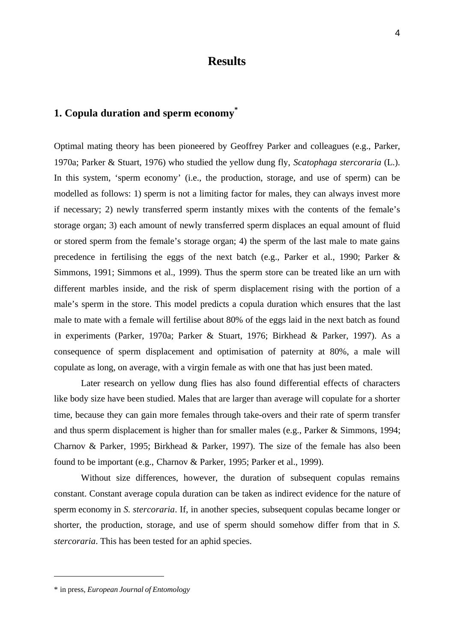# **Results**

## **1. Copula duration and sperm economy\***

Optimal mating theory has been pioneered by Geoffrey Parker and colleagues (e.g., Parker, 1970a; Parker & Stuart, 1976) who studied the yellow dung fly, *Scatophaga stercoraria* (L.). In this system, 'sperm economy' (i.e., the production, storage, and use of sperm) can be modelled as follows: 1) sperm is not a limiting factor for males, they can always invest more if necessary; 2) newly transferred sperm instantly mixes with the contents of the female's storage organ; 3) each amount of newly transferred sperm displaces an equal amount of fluid or stored sperm from the female's storage organ; 4) the sperm of the last male to mate gains precedence in fertilising the eggs of the next batch (e.g., Parker et al., 1990; Parker & Simmons, 1991; Simmons et al., 1999). Thus the sperm store can be treated like an urn with different marbles inside, and the risk of sperm displacement rising with the portion of a male's sperm in the store. This model predicts a copula duration which ensures that the last male to mate with a female will fertilise about 80% of the eggs laid in the next batch as found in experiments (Parker, 1970a; Parker & Stuart, 1976; Birkhead & Parker, 1997). As a consequence of sperm displacement and optimisation of paternity at 80%, a male will copulate as long, on average, with a virgin female as with one that has just been mated.

Later research on yellow dung flies has also found differential effects of characters like body size have been studied. Males that are larger than average will copulate for a shorter time, because they can gain more females through take-overs and their rate of sperm transfer and thus sperm displacement is higher than for smaller males (e.g., Parker & Simmons, 1994; Charnov & Parker, 1995; Birkhead & Parker, 1997). The size of the female has also been found to be important (e.g., Charnov & Parker, 1995; Parker et al., 1999).

Without size differences, however, the duration of subsequent copulas remains constant. Constant average copula duration can be taken as indirect evidence for the nature of sperm economy in *S. stercoraria*. If, in another species, subsequent copulas became longer or shorter, the production, storage, and use of sperm should somehow differ from that in *S. stercoraria*. This has been tested for an aphid species.

l

<sup>4</sup>

<sup>\*</sup> in press, *European Journal of Entomology*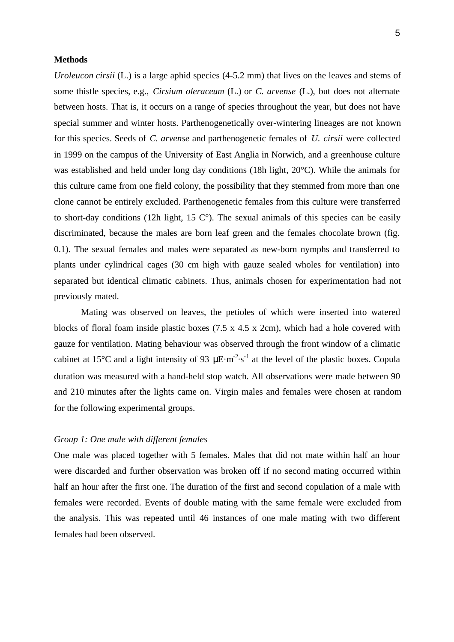#### **Methods**

*Uroleucon cirsii* (L.) is a large aphid species (4-5.2 mm) that lives on the leaves and stems of some thistle species, e.g., *Cirsium oleraceum* (L.) or *C. arvense* (L.), but does not alternate between hosts. That is, it occurs on a range of species throughout the year, but does not have special summer and winter hosts. Parthenogenetically over-wintering lineages are not known for this species. Seeds of *C. arvense* and parthenogenetic females of *U. cirsii* were collected in 1999 on the campus of the University of East Anglia in Norwich, and a greenhouse culture was established and held under long day conditions (18h light, 20°C). While the animals for this culture came from one field colony, the possibility that they stemmed from more than one clone cannot be entirely excluded. Parthenogenetic females from this culture were transferred to short-day conditions (12h light, 15  $\mathbb{C}^{\circ}$ ). The sexual animals of this species can be easily discriminated, because the males are born leaf green and the females chocolate brown (fig. 0.1). The sexual females and males were separated as new-born nymphs and transferred to plants under cylindrical cages (30 cm high with gauze sealed wholes for ventilation) into separated but identical climatic cabinets. Thus, animals chosen for experimentation had not previously mated.

Mating was observed on leaves, the petioles of which were inserted into watered blocks of floral foam inside plastic boxes (7.5 x 4.5 x 2cm), which had a hole covered with gauze for ventilation. Mating behaviour was observed through the front window of a climatic cabinet at 15<sup>o</sup>C and a light intensity of 93  $\mu$ E·m<sup>-2</sup>·s<sup>-1</sup> at the level of the plastic boxes. Copula duration was measured with a hand-held stop watch. All observations were made between 90 and 210 minutes after the lights came on. Virgin males and females were chosen at random for the following experimental groups.

### *Group 1: One male with different females*

One male was placed together with 5 females. Males that did not mate within half an hour were discarded and further observation was broken off if no second mating occurred within half an hour after the first one. The duration of the first and second copulation of a male with females were recorded. Events of double mating with the same female were excluded from the analysis. This was repeated until 46 instances of one male mating with two different females had been observed.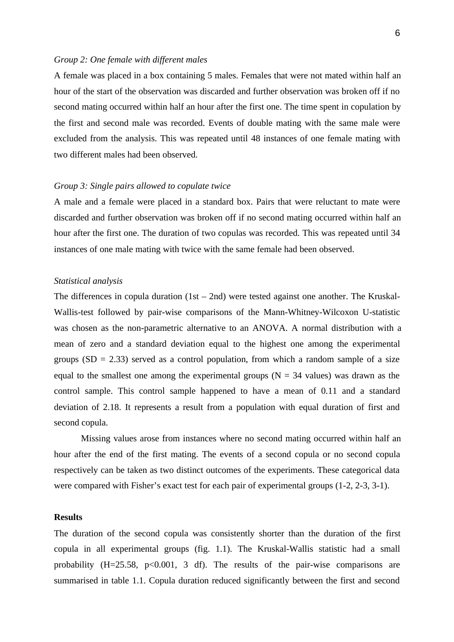#### *Group 2: One female with different males*

A female was placed in a box containing 5 males. Females that were not mated within half an hour of the start of the observation was discarded and further observation was broken off if no second mating occurred within half an hour after the first one. The time spent in copulation by the first and second male was recorded. Events of double mating with the same male were excluded from the analysis. This was repeated until 48 instances of one female mating with two different males had been observed.

#### *Group 3: Single pairs allowed to copulate twice*

A male and a female were placed in a standard box. Pairs that were reluctant to mate were discarded and further observation was broken off if no second mating occurred within half an hour after the first one. The duration of two copulas was recorded. This was repeated until 34 instances of one male mating with twice with the same female had been observed.

#### *Statistical analysis*

The differences in copula duration  $(1st - 2nd)$  were tested against one another. The Kruskal-Wallis-test followed by pair-wise comparisons of the Mann-Whitney-Wilcoxon U-statistic was chosen as the non-parametric alternative to an ANOVA. A normal distribution with a mean of zero and a standard deviation equal to the highest one among the experimental groups  $(SD = 2.33)$  served as a control population, from which a random sample of a size equal to the smallest one among the experimental groups ( $N = 34$  values) was drawn as the control sample. This control sample happened to have a mean of 0.11 and a standard deviation of 2.18. It represents a result from a population with equal duration of first and second copula.

Missing values arose from instances where no second mating occurred within half an hour after the end of the first mating. The events of a second copula or no second copula respectively can be taken as two distinct outcomes of the experiments. These categorical data were compared with Fisher's exact test for each pair of experimental groups (1-2, 2-3, 3-1).

### **Results**

The duration of the second copula was consistently shorter than the duration of the first copula in all experimental groups (fig. 1.1). The Kruskal-Wallis statistic had a small probability  $(H=25.58, p<0.001, 3 df)$ . The results of the pair-wise comparisons are summarised in table 1.1. Copula duration reduced significantly between the first and second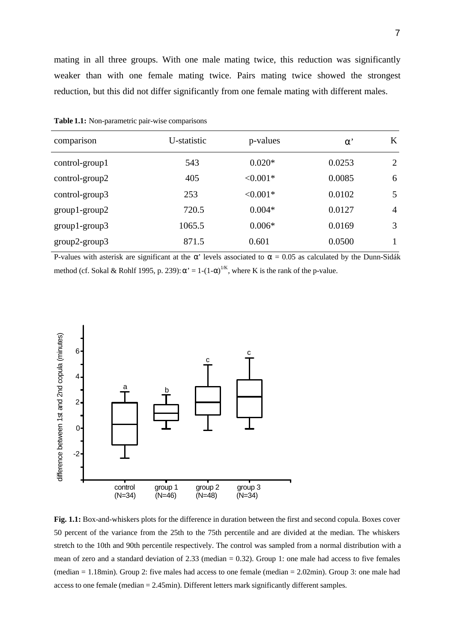mating in all three groups. With one male mating twice, this reduction was significantly weaker than with one female mating twice. Pairs mating twice showed the strongest reduction, but this did not differ significantly from one female mating with different males.

| comparison      | U-statistic | p-values   | $\alpha$ <sup>'</sup> | K              |
|-----------------|-------------|------------|-----------------------|----------------|
| control-group1  | 543         | $0.020*$   | 0.0253                | 2              |
| control-group2  | 405         | $< 0.001*$ | 0.0085                | 6              |
| control-group3  | 253         | $< 0.001*$ | 0.0102                | 5              |
| $group1-group2$ | 720.5       | $0.004*$   | 0.0127                | $\overline{4}$ |
| $group1-group3$ | 1065.5      | $0.006*$   | 0.0169                | 3              |
| group2-group3   | 871.5       | 0.601      | 0.0500                |                |

**Table 1.1:** Non-parametric pair-wise comparisons

P-values with asterisk are significant at the  $\alpha'$  levels associated to  $\alpha = 0.05$  as calculated by the Dunn-Sidák method (cf. Sokal & Rohlf 1995, p. 239):  $\alpha' = 1-(1-\alpha)^{1/K}$ , where K is the rank of the p-value.



**Fig. 1.1:** Box-and-whiskers plots for the difference in duration between the first and second copula. Boxes cover 50 percent of the variance from the 25th to the 75th percentile and are divided at the median. The whiskers stretch to the 10th and 90th percentile respectively. The control was sampled from a normal distribution with a mean of zero and a standard deviation of 2.33 (median = 0.32). Group 1: one male had access to five females (median = 1.18min). Group 2: five males had access to one female (median = 2.02min). Group 3: one male had access to one female (median = 2.45min). Different letters mark significantly different samples.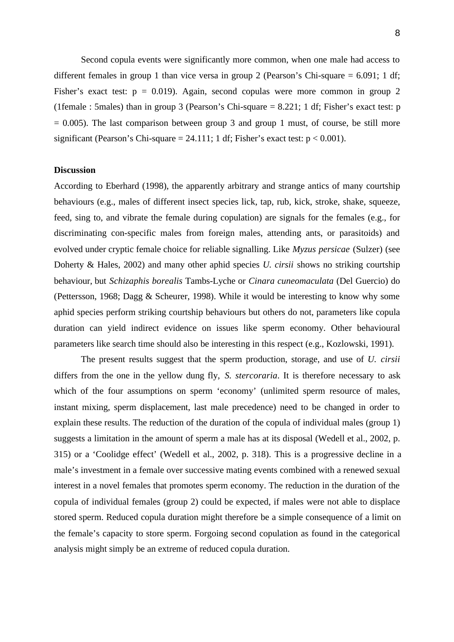Second copula events were significantly more common, when one male had access to different females in group 1 than vice versa in group 2 (Pearson's Chi-square  $= 6.091$ ; 1 df; Fisher's exact test:  $p = 0.019$ . Again, second copulas were more common in group 2 (1female : 5males) than in group 3 (Pearson's Chi-square  $= 8.221$ ; 1 df; Fisher's exact test: p  $= 0.005$ ). The last comparison between group 3 and group 1 must, of course, be still more significant (Pearson's Chi-square =  $24.111$ ; 1 df; Fisher's exact test:  $p < 0.001$ ).

#### **Discussion**

According to Eberhard (1998), the apparently arbitrary and strange antics of many courtship behaviours (e.g., males of different insect species lick, tap, rub, kick, stroke, shake, squeeze, feed, sing to, and vibrate the female during copulation) are signals for the females (e.g., for discriminating con-specific males from foreign males, attending ants, or parasitoids) and evolved under cryptic female choice for reliable signalling. Like *Myzus persicae* (Sulzer) (see Doherty & Hales, 2002) and many other aphid species *U. cirsii* shows no striking courtship behaviour, but *Schizaphis borealis* Tambs-Lyche or *Cinara cuneomaculata* (Del Guercio) do (Pettersson, 1968; Dagg & Scheurer, 1998). While it would be interesting to know why some aphid species perform striking courtship behaviours but others do not, parameters like copula duration can yield indirect evidence on issues like sperm economy. Other behavioural parameters like search time should also be interesting in this respect (e.g., Kozlowski, 1991).

The present results suggest that the sperm production, storage, and use of *U. cirsii* differs from the one in the yellow dung fly, *S. stercoraria*. It is therefore necessary to ask which of the four assumptions on sperm 'economy' (unlimited sperm resource of males, instant mixing, sperm displacement, last male precedence) need to be changed in order to explain these results. The reduction of the duration of the copula of individual males (group 1) suggests a limitation in the amount of sperm a male has at its disposal (Wedell et al., 2002, p. 315) or a 'Coolidge effect' (Wedell et al., 2002, p. 318). This is a progressive decline in a male's investment in a female over successive mating events combined with a renewed sexual interest in a novel females that promotes sperm economy. The reduction in the duration of the copula of individual females (group 2) could be expected, if males were not able to displace stored sperm. Reduced copula duration might therefore be a simple consequence of a limit on the female's capacity to store sperm. Forgoing second copulation as found in the categorical analysis might simply be an extreme of reduced copula duration.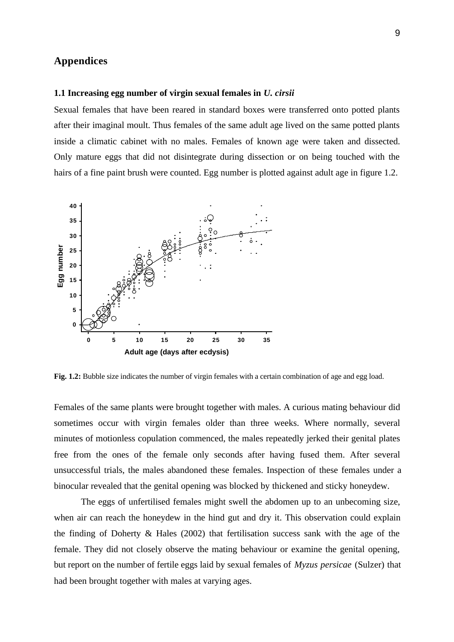### **Appendices**

#### **1.1 Increasing egg number of virgin sexual females in** *U. cirsii*

Sexual females that have been reared in standard boxes were transferred onto potted plants after their imaginal moult. Thus females of the same adult age lived on the same potted plants inside a climatic cabinet with no males. Females of known age were taken and dissected. Only mature eggs that did not disintegrate during dissection or on being touched with the hairs of a fine paint brush were counted. Egg number is plotted against adult age in figure 1.2.



**Fig. 1.2:** Bubble size indicates the number of virgin females with a certain combination of age and egg load.

Females of the same plants were brought together with males. A curious mating behaviour did sometimes occur with virgin females older than three weeks. Where normally, several minutes of motionless copulation commenced, the males repeatedly jerked their genital plates free from the ones of the female only seconds after having fused them. After several unsuccessful trials, the males abandoned these females. Inspection of these females under a binocular revealed that the genital opening was blocked by thickened and sticky honeydew.

The eggs of unfertilised females might swell the abdomen up to an unbecoming size, when air can reach the honeydew in the hind gut and dry it. This observation could explain the finding of Doherty & Hales (2002) that fertilisation success sank with the age of the female. They did not closely observe the mating behaviour or examine the genital opening, but report on the number of fertile eggs laid by sexual females of *Myzus persicae* (Sulzer) that had been brought together with males at varying ages.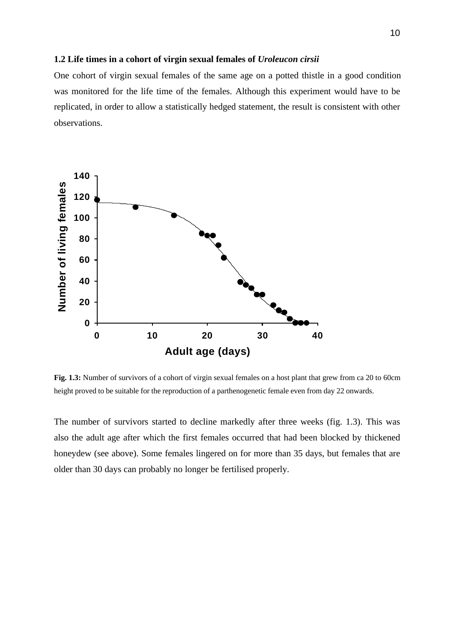#### **1.2 Life times in a cohort of virgin sexual females of** *Uroleucon cirsii*

One cohort of virgin sexual females of the same age on a potted thistle in a good condition was monitored for the life time of the females. Although this experiment would have to be replicated, in order to allow a statistically hedged statement, the result is consistent with other observations.



**Fig. 1.3:** Number of survivors of a cohort of virgin sexual females on a host plant that grew from ca 20 to 60cm height proved to be suitable for the reproduction of a parthenogenetic female even from day 22 onwards.

The number of survivors started to decline markedly after three weeks (fig. 1.3). This was also the adult age after which the first females occurred that had been blocked by thickened honeydew (see above). Some females lingered on for more than 35 days, but females that are older than 30 days can probably no longer be fertilised properly.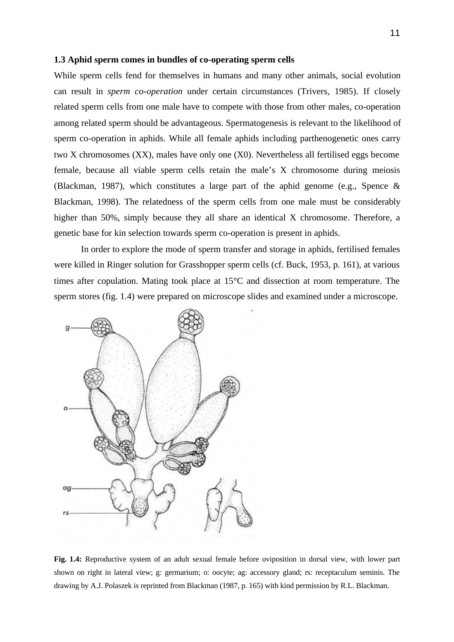#### **1.3 Aphid sperm comes in bundles of co-operating sperm cells**

While sperm cells fend for themselves in humans and many other animals, social evolution can result in *sperm co-operation* under certain circumstances (Trivers, 1985). If closely related sperm cells from one male have to compete with those from other males, co-operation among related sperm should be advantageous. Spermatogenesis is relevant to the likelihood of sperm co-operation in aphids. While all female aphids including parthenogenetic ones carry two X chromosomes (XX), males have only one (X0). Nevertheless all fertilised eggs become female, because all viable sperm cells retain the male's X chromosome during meiosis (Blackman, 1987), which constitutes a large part of the aphid genome (e.g., Spence & Blackman, 1998). The relatedness of the sperm cells from one male must be considerably higher than 50%, simply because they all share an identical X chromosome. Therefore, a genetic base for kin selection towards sperm co-operation is present in aphids.

In order to explore the mode of sperm transfer and storage in aphids, fertilised females were killed in Ringer solution for Grasshopper sperm cells (cf. Buck, 1953, p. 161), at various times after copulation. Mating took place at 15°C and dissection at room temperature. The sperm stores (fig. 1.4) were prepared on microscope slides and examined under a microscope.



**Fig. 1.4:** Reproductive system of an adult sexual female before oviposition in dorsal view, with lower part shown on right in lateral view; g: germarium; o: oocyte; ag: accessory gland; rs: receptaculum seminis. The drawing by A.J. Polaszek is reprinted from Blackman (1987, p. 165) with kind permission by R.L. Blackman.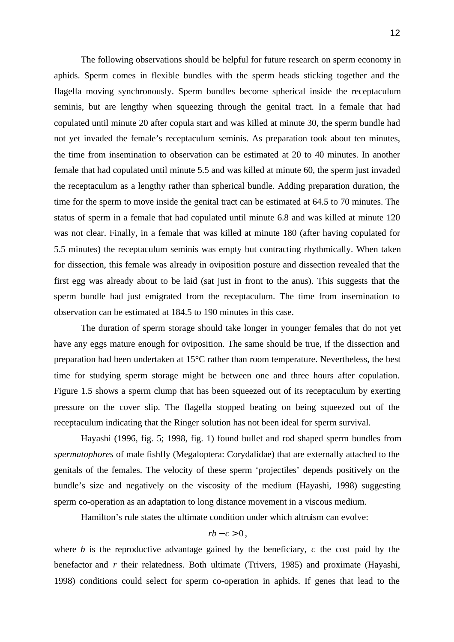The following observations should be helpful for future research on sperm economy in aphids. Sperm comes in flexible bundles with the sperm heads sticking together and the flagella moving synchronously. Sperm bundles become spherical inside the receptaculum seminis, but are lengthy when squeezing through the genital tract. In a female that had copulated until minute 20 after copula start and was killed at minute 30, the sperm bundle had not yet invaded the female's receptaculum seminis. As preparation took about ten minutes, the time from insemination to observation can be estimated at 20 to 40 minutes. In another female that had copulated until minute 5.5 and was killed at minute 60, the sperm just invaded the receptaculum as a lengthy rather than spherical bundle. Adding preparation duration, the time for the sperm to move inside the genital tract can be estimated at 64.5 to 70 minutes. The status of sperm in a female that had copulated until minute 6.8 and was killed at minute 120 was not clear. Finally, in a female that was killed at minute 180 (after having copulated for 5.5 minutes) the receptaculum seminis was empty but contracting rhythmically. When taken for dissection, this female was already in oviposition posture and dissection revealed that the first egg was already about to be laid (sat just in front to the anus). This suggests that the sperm bundle had just emigrated from the receptaculum. The time from insemination to observation can be estimated at 184.5 to 190 minutes in this case.

The duration of sperm storage should take longer in younger females that do not yet have any eggs mature enough for oviposition. The same should be true, if the dissection and preparation had been undertaken at 15°C rather than room temperature. Nevertheless, the best time for studying sperm storage might be between one and three hours after copulation. Figure 1.5 shows a sperm clump that has been squeezed out of its receptaculum by exerting pressure on the cover slip. The flagella stopped beating on being squeezed out of the receptaculum indicating that the Ringer solution has not been ideal for sperm survival.

Hayashi (1996, fig. 5; 1998, fig. 1) found bullet and rod shaped sperm bundles from *spermatophores* of male fishfly (Megaloptera: Corydalidae) that are externally attached to the genitals of the females. The velocity of these sperm 'projectiles' depends positively on the bundle's size and negatively on the viscosity of the medium (Hayashi, 1998) suggesting sperm co-operation as an adaptation to long distance movement in a viscous medium.

Hamilton's rule states the ultimate condition under which altruism can evolve:

$$
rb-c>0,
$$

where *b* is the reproductive advantage gained by the beneficiary, *c* the cost paid by the benefactor and *r* their relatedness. Both ultimate (Trivers, 1985) and proximate (Hayashi, 1998) conditions could select for sperm co-operation in aphids. If genes that lead to the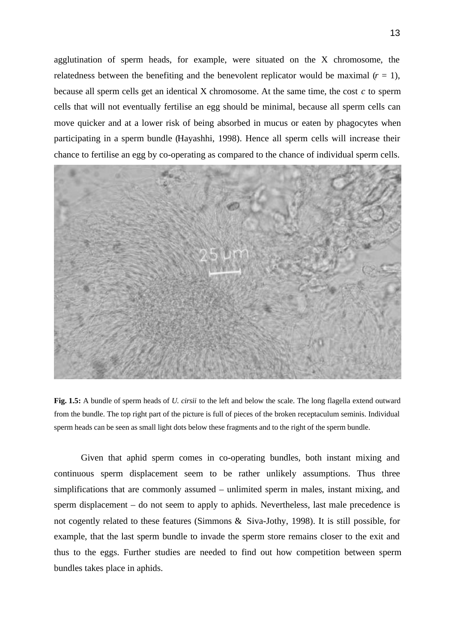agglutination of sperm heads, for example, were situated on the X chromosome, the relatedness between the benefiting and the benevolent replicator would be maximal  $(r = 1)$ , because all sperm cells get an identical X chromosome. At the same time, the cost *c* to sperm cells that will not eventually fertilise an egg should be minimal, because all sperm cells can move quicker and at a lower risk of being absorbed in mucus or eaten by phagocytes when participating in a sperm bundle (Hayashhi, 1998). Hence all sperm cells will increase their chance to fertilise an egg by co-operating as compared to the chance of individual sperm cells.



**Fig. 1.5:** A bundle of sperm heads of *U. cirsii* to the left and below the scale. The long flagella extend outward from the bundle. The top right part of the picture is full of pieces of the broken receptaculum seminis. Individual sperm heads can be seen as small light dots below these fragments and to the right of the sperm bundle.

Given that aphid sperm comes in co-operating bundles, both instant mixing and continuous sperm displacement seem to be rather unlikely assumptions. Thus three simplifications that are commonly assumed – unlimited sperm in males, instant mixing, and sperm displacement – do not seem to apply to aphids. Nevertheless, last male precedence is not cogently related to these features (Simmons & Siva-Jothy, 1998). It is still possible, for example, that the last sperm bundle to invade the sperm store remains closer to the exit and thus to the eggs. Further studies are needed to find out how competition between sperm bundles takes place in aphids.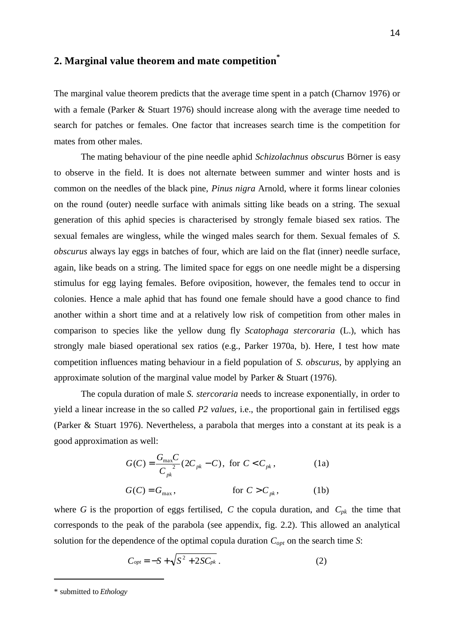# **2. Marginal value theorem and mate competition\***

The marginal value theorem predicts that the average time spent in a patch (Charnov 1976) or with a female (Parker & Stuart 1976) should increase along with the average time needed to search for patches or females. One factor that increases search time is the competition for mates from other males.

The mating behaviour of the pine needle aphid *Schizolachnus obscurus* Börner is easy to observe in the field. It is does not alternate between summer and winter hosts and is common on the needles of the black pine, *Pinus nigra* Arnold, where it forms linear colonies on the round (outer) needle surface with animals sitting like beads on a string. The sexual generation of this aphid species is characterised by strongly female biased sex ratios. The sexual females are wingless, while the winged males search for them. Sexual females of *S. obscurus* always lay eggs in batches of four, which are laid on the flat (inner) needle surface, again, like beads on a string. The limited space for eggs on one needle might be a dispersing stimulus for egg laying females. Before oviposition, however, the females tend to occur in colonies. Hence a male aphid that has found one female should have a good chance to find another within a short time and at a relatively low risk of competition from other males in comparison to species like the yellow dung fly *Scatophaga stercoraria* (L.), which has strongly male biased operational sex ratios (e.g., Parker 1970a, b). Here, I test how mate competition influences mating behaviour in a field population of *S. obscurus*, by applying an approximate solution of the marginal value model by Parker & Stuart (1976).

The copula duration of male *S. stercoraria* needs to increase exponentially, in order to yield a linear increase in the so called *P2 values*, i.e., the proportional gain in fertilised eggs (Parker & Stuart 1976). Nevertheless, a parabola that merges into a constant at its peak is a good approximation as well:

$$
G(C) = \frac{G_{\text{max}}C}{C_{pk}^2} (2C_{pk} - C), \text{ for } C < C_{pk},
$$
\n
$$
G(C) = G_{\text{max}}, \qquad \text{for } C > C_{pk},
$$
\n(1b)

where *G* is the proportion of eggs fertilised, *C* the copula duration, and  $C_{pk}$  the time that corresponds to the peak of the parabola (see appendix, fig. 2.2). This allowed an analytical solution for the dependence of the optimal copula duration *Copt* on the search time *S*:

$$
C_{opt} = -S + \sqrt{S^2 + 2SC_{pk}}.
$$
 (2)

<sup>\*</sup> submitted to *Ethology*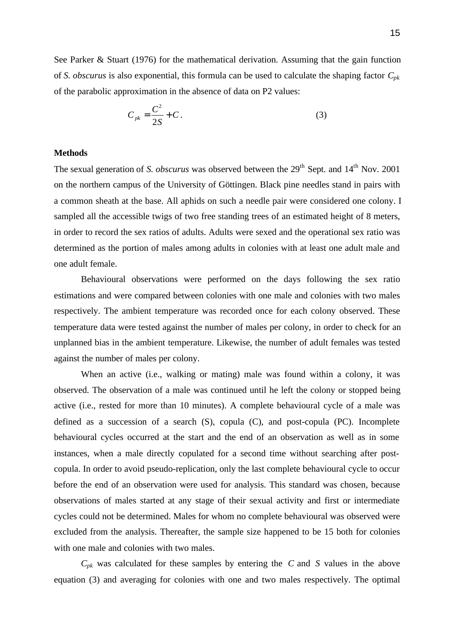See Parker & Stuart (1976) for the mathematical derivation. Assuming that the gain function of *S. obscurus* is also exponential, this formula can be used to calculate the shaping factor *Cpk* of the parabolic approximation in the absence of data on P2 values:

$$
C_{pk} = \frac{C^2}{2S} + C.
$$
 (3)

#### **Methods**

The sexual generation of *S. obscurus* was observed between the 29<sup>th</sup> Sept. and 14<sup>th</sup> Nov. 2001 on the northern campus of the University of Göttingen. Black pine needles stand in pairs with a common sheath at the base. All aphids on such a needle pair were considered one colony. I sampled all the accessible twigs of two free standing trees of an estimated height of 8 meters, in order to record the sex ratios of adults. Adults were sexed and the operational sex ratio was determined as the portion of males among adults in colonies with at least one adult male and one adult female.

Behavioural observations were performed on the days following the sex ratio estimations and were compared between colonies with one male and colonies with two males respectively. The ambient temperature was recorded once for each colony observed. These temperature data were tested against the number of males per colony, in order to check for an unplanned bias in the ambient temperature. Likewise, the number of adult females was tested against the number of males per colony.

When an active (i.e., walking or mating) male was found within a colony, it was observed. The observation of a male was continued until he left the colony or stopped being active (i.e., rested for more than 10 minutes). A complete behavioural cycle of a male was defined as a succession of a search (S), copula (C), and post-copula (PC). Incomplete behavioural cycles occurred at the start and the end of an observation as well as in some instances, when a male directly copulated for a second time without searching after postcopula. In order to avoid pseudo-replication, only the last complete behavioural cycle to occur before the end of an observation were used for analysis. This standard was chosen, because observations of males started at any stage of their sexual activity and first or intermediate cycles could not be determined. Males for whom no complete behavioural was observed were excluded from the analysis. Thereafter, the sample size happened to be 15 both for colonies with one male and colonies with two males.

 $C_{pk}$  was calculated for these samples by entering the *C* and *S* values in the above equation (3) and averaging for colonies with one and two males respectively. The optimal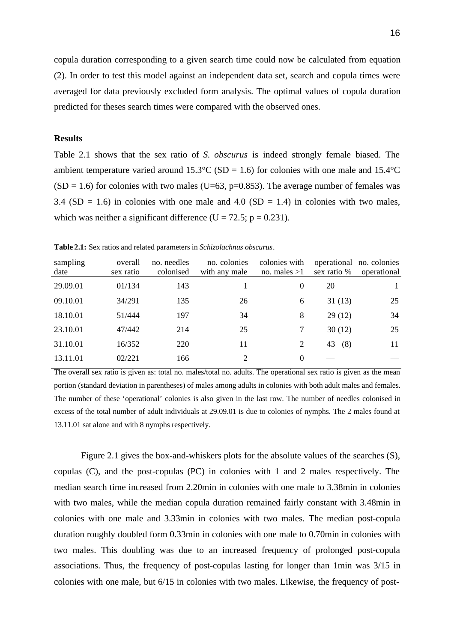copula duration corresponding to a given search time could now be calculated from equation (2). In order to test this model against an independent data set, search and copula times were averaged for data previously excluded form analysis. The optimal values of copula duration predicted for theses search times were compared with the observed ones.

#### **Results**

Table 2.1 shows that the sex ratio of *S. obscurus* is indeed strongly female biased. The ambient temperature varied around  $15.3^{\circ}$ C (SD = 1.6) for colonies with one male and  $15.4^{\circ}$ C  $(SD = 1.6)$  for colonies with two males (U=63, p=0.853). The average number of females was 3.4 (SD = 1.6) in colonies with one male and 4.0 (SD = 1.4) in colonies with two males, which was neither a significant difference (U = 72.5;  $p = 0.231$ ).

**Table 2.1:** Sex ratios and related parameters in *Schizolachnus obscurus*.

| sampling<br>date | overall<br>sex ratio | no. needles<br>colonised | no. colonies<br>with any male | colonies with<br>no. males $>1$ | sex ratio % | operational no. colonies<br>operational |
|------------------|----------------------|--------------------------|-------------------------------|---------------------------------|-------------|-----------------------------------------|
| 29.09.01         | 01/134               | 143                      |                               | $\theta$                        | 20          |                                         |
| 09.10.01         | 34/291               | 135                      | 26                            | 6                               | 31(13)      | 25                                      |
| 18.10.01         | 51/444               | 197                      | 34                            | 8                               | 29(12)      | 34                                      |
| 23.10.01         | 47/442               | 214                      | 25                            | 7                               | 30(12)      | 25                                      |
| 31.10.01         | 16/352               | 220                      | 11                            | 2                               | 43<br>(8)   | 11                                      |
| 13.11.01         | 02/221               | 166                      | $\mathfrak{D}$                | $\Omega$                        |             |                                         |

The overall sex ratio is given as: total no. males/total no. adults. The operational sex ratio is given as the mean portion (standard deviation in parentheses) of males among adults in colonies with both adult males and females. The number of these 'operational' colonies is also given in the last row. The number of needles colonised in excess of the total number of adult individuals at 29.09.01 is due to colonies of nymphs. The 2 males found at 13.11.01 sat alone and with 8 nymphs respectively.

Figure 2.1 gives the box-and-whiskers plots for the absolute values of the searches (S), copulas (C), and the post-copulas (PC) in colonies with 1 and 2 males respectively. The median search time increased from 2.20min in colonies with one male to 3.38min in colonies with two males, while the median copula duration remained fairly constant with 3.48min in colonies with one male and 3.33min in colonies with two males. The median post-copula duration roughly doubled form 0.33min in colonies with one male to 0.70min in colonies with two males. This doubling was due to an increased frequency of prolonged post-copula associations. Thus, the frequency of post-copulas lasting for longer than 1min was 3/15 in colonies with one male, but 6/15 in colonies with two males. Likewise, the frequency of post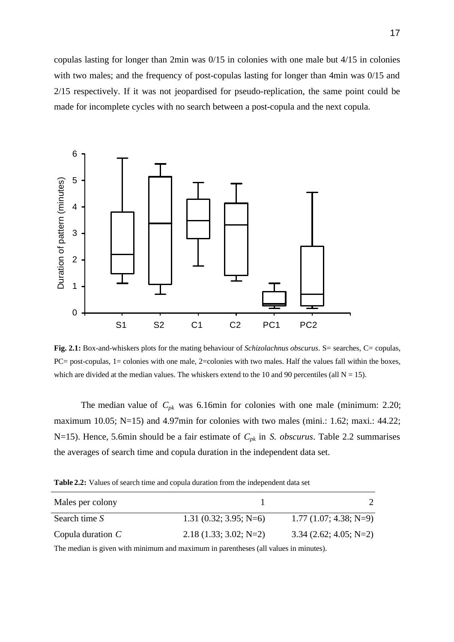copulas lasting for longer than 2min was 0/15 in colonies with one male but 4/15 in colonies with two males; and the frequency of post-copulas lasting for longer than 4min was 0/15 and 2/15 respectively. If it was not jeopardised for pseudo-replication, the same point could be made for incomplete cycles with no search between a post-copula and the next copula.



**Fig. 2.1:** Box-and-whiskers plots for the mating behaviour of *Schizolachnus obscurus*. S= searches, C= copulas, PC= post-copulas, 1= colonies with one male, 2=colonies with two males. Half the values fall within the boxes, which are divided at the median values. The whiskers extend to the 10 and 90 percentiles (all  $N = 15$ ).

The median value of  $C_{pk}$  was 6.16min for colonies with one male (minimum: 2.20; maximum 10.05; N=15) and 4.97min for colonies with two males (mini.: 1.62; maxi.: 44.22; N=15). Hence, 5.6min should be a fair estimate of *Cpk* in *S. obscurus*. Table 2.2 summarises the averages of search time and copula duration in the independent data set.

**Table 2.2:** Values of search time and copula duration from the independent data set

| Males per colony    |                         |                          |
|---------------------|-------------------------|--------------------------|
| Search time S       | $1.31(0.32; 3.95; N=6)$ | $1.77(1.07; 4.38; N=9)$  |
| Copula duration $C$ | $2.18(1.33; 3.02; N=2)$ | $3.34$ (2.62; 4.05; N=2) |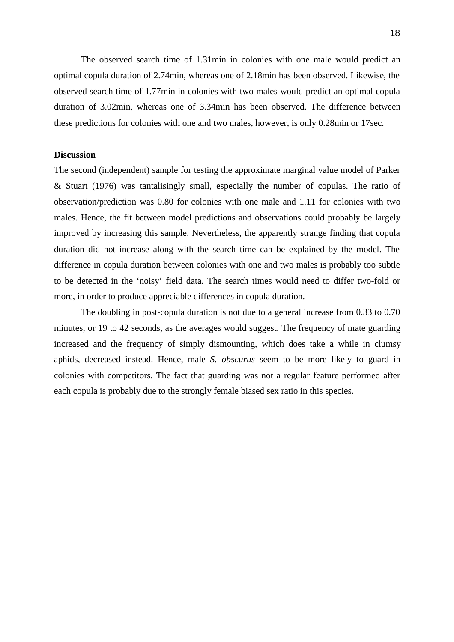The observed search time of 1.31min in colonies with one male would predict an optimal copula duration of 2.74min, whereas one of 2.18min has been observed. Likewise, the observed search time of 1.77min in colonies with two males would predict an optimal copula duration of 3.02min, whereas one of 3.34min has been observed. The difference between these predictions for colonies with one and two males, however, is only 0.28min or 17sec.

### **Discussion**

The second (independent) sample for testing the approximate marginal value model of Parker & Stuart (1976) was tantalisingly small, especially the number of copulas. The ratio of observation/prediction was 0.80 for colonies with one male and 1.11 for colonies with two males. Hence, the fit between model predictions and observations could probably be largely improved by increasing this sample. Nevertheless, the apparently strange finding that copula duration did not increase along with the search time can be explained by the model. The difference in copula duration between colonies with one and two males is probably too subtle to be detected in the 'noisy' field data. The search times would need to differ two-fold or more, in order to produce appreciable differences in copula duration.

The doubling in post-copula duration is not due to a general increase from 0.33 to 0.70 minutes, or 19 to 42 seconds, as the averages would suggest. The frequency of mate guarding increased and the frequency of simply dismounting, which does take a while in clumsy aphids, decreased instead. Hence, male *S. obscurus* seem to be more likely to guard in colonies with competitors. The fact that guarding was not a regular feature performed after each copula is probably due to the strongly female biased sex ratio in this species.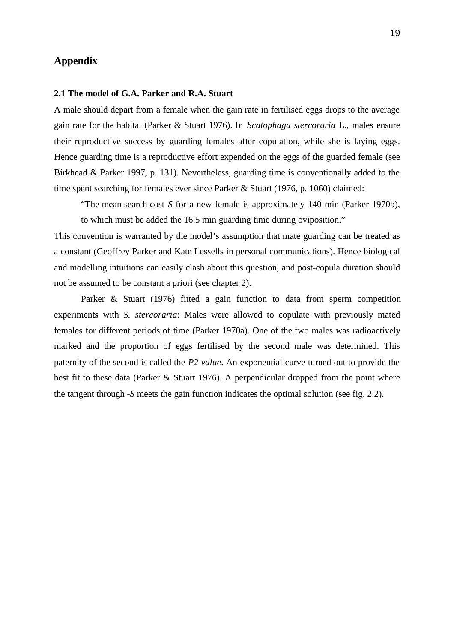### **Appendix**

#### **2.1 The model of G.A. Parker and R.A. Stuart**

A male should depart from a female when the gain rate in fertilised eggs drops to the average gain rate for the habitat (Parker & Stuart 1976). In *Scatophaga stercoraria* L., males ensure their reproductive success by guarding females after copulation, while she is laying eggs. Hence guarding time is a reproductive effort expended on the eggs of the guarded female (see Birkhead & Parker 1997, p. 131). Nevertheless, guarding time is conventionally added to the time spent searching for females ever since Parker & Stuart (1976, p. 1060) claimed:

"The mean search cost *S* for a new female is approximately 140 min (Parker 1970b), to which must be added the 16.5 min guarding time during oviposition."

This convention is warranted by the model's assumption that mate guarding can be treated as a constant (Geoffrey Parker and Kate Lessells in personal communications). Hence biological and modelling intuitions can easily clash about this question, and post-copula duration should not be assumed to be constant a priori (see chapter 2).

Parker & Stuart (1976) fitted a gain function to data from sperm competition experiments with *S. stercoraria*: Males were allowed to copulate with previously mated females for different periods of time (Parker 1970a). One of the two males was radioactively marked and the proportion of eggs fertilised by the second male was determined. This paternity of the second is called the *P2 value*. An exponential curve turned out to provide the best fit to these data (Parker & Stuart 1976). A perpendicular dropped from the point where the tangent through -*S* meets the gain function indicates the optimal solution (see fig. 2.2).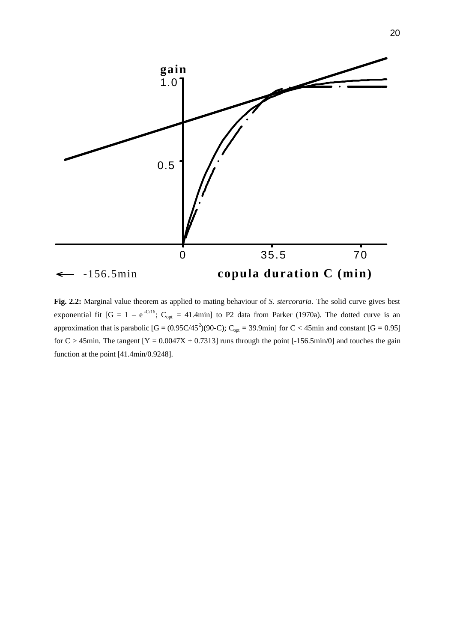

**Fig. 2.2:** Marginal value theorem as applied to mating behaviour of *S. stercoraria*. The solid curve gives best exponential fit  $[G = 1 - e^{-C/16}; C_{opt} = 41.4$ min] to P2 data from Parker (1970a). The dotted curve is an approximation that is parabolic  $[G = (0.95C/45^2)(90-C); C_{opt} = 39.9$ min] for  $C < 45$ min and constant  $[G = 0.95]$ for  $C > 45$ min. The tangent  $[Y = 0.0047X + 0.7313]$  runs through the point  $[-156.5 \text{min}/0]$  and touches the gain function at the point [41.4min/0.9248].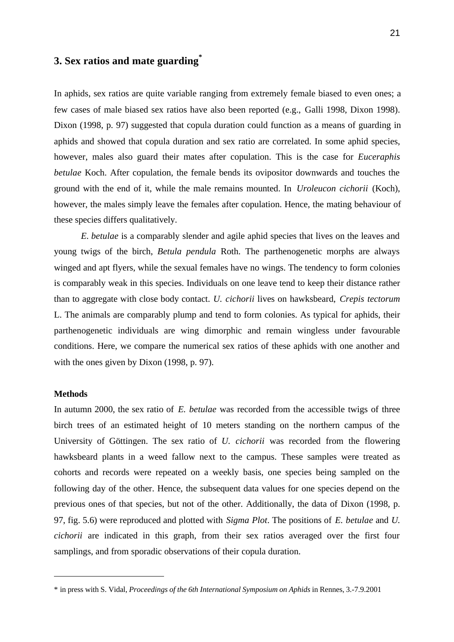# **3. Sex ratios and mate guarding\***

In aphids, sex ratios are quite variable ranging from extremely female biased to even ones; a few cases of male biased sex ratios have also been reported (e.g., Galli 1998, Dixon 1998). Dixon (1998, p. 97) suggested that copula duration could function as a means of guarding in aphids and showed that copula duration and sex ratio are correlated. In some aphid species, however, males also guard their mates after copulation. This is the case for *Euceraphis betulae* Koch. After copulation, the female bends its ovipositor downwards and touches the ground with the end of it, while the male remains mounted. In *Uroleucon cichorii* (Koch), however, the males simply leave the females after copulation. Hence, the mating behaviour of these species differs qualitatively.

*E. betulae* is a comparably slender and agile aphid species that lives on the leaves and young twigs of the birch, *Betula pendula* Roth. The parthenogenetic morphs are always winged and apt flyers, while the sexual females have no wings. The tendency to form colonies is comparably weak in this species. Individuals on one leave tend to keep their distance rather than to aggregate with close body contact. *U. cichorii* lives on hawksbeard, *Crepis tectorum* L. The animals are comparably plump and tend to form colonies. As typical for aphids, their parthenogenetic individuals are wing dimorphic and remain wingless under favourable conditions. Here, we compare the numerical sex ratios of these aphids with one another and with the ones given by Dixon (1998, p. 97).

#### **Methods**

l

In autumn 2000, the sex ratio of *E. betulae* was recorded from the accessible twigs of three birch trees of an estimated height of 10 meters standing on the northern campus of the University of Göttingen. The sex ratio of *U. cichorii* was recorded from the flowering hawksbeard plants in a weed fallow next to the campus. These samples were treated as cohorts and records were repeated on a weekly basis, one species being sampled on the following day of the other. Hence, the subsequent data values for one species depend on the previous ones of that species, but not of the other. Additionally, the data of Dixon (1998, p. 97, fig. 5.6) were reproduced and plotted with *Sigma Plot*. The positions of *E. betulae* and *U. cichorii* are indicated in this graph, from their sex ratios averaged over the first four samplings, and from sporadic observations of their copula duration.

<sup>\*</sup> in press with S. Vidal, *Proceedings of the 6th International Symposium on Aphids* in Rennes, 3.-7.9.2001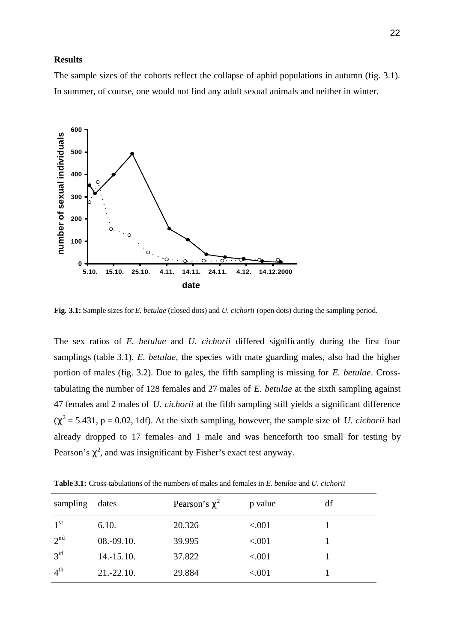#### **Results**

The sample sizes of the cohorts reflect the collapse of aphid populations in autumn (fig. 3.1). In summer, of course, one would not find any adult sexual animals and neither in winter.



**Fig. 3.1:** Sample sizes for *E. betulae* (closed dots) and *U. cichorii* (open dots) during the sampling period.

The sex ratios of *E. betulae* and *U. cichorii* differed significantly during the first four samplings (table 3.1). *E. betulae*, the species with mate guarding males, also had the higher portion of males (fig. 3.2). Due to gales, the fifth sampling is missing for *E. betulae*. Crosstabulating the number of 128 females and 27 males of *E. betulae* at the sixth sampling against 47 females and 2 males of *U. cichorii* at the fifth sampling still yields a significant difference  $(\chi^2 = 5.431, p = 0.02, 1df)$ . At the sixth sampling, however, the sample size of *U. cichorii* had already dropped to 17 females and 1 male and was henceforth too small for testing by Pearson's  $\chi^2$ , and was insignificant by Fisher's exact test anyway.

| sampling        | dates        | Pearson's $\chi^2$ | p value | df |
|-----------------|--------------|--------------------|---------|----|
| 1 <sup>st</sup> | 6.10.        | 20.326             | < 0.001 |    |
| 2 <sup>nd</sup> | $08.-09.10.$ | 39.995             | < .001  |    |
| $3^{\text{rd}}$ | $14.-15.10.$ | 37.822             | < .001  |    |
| $4^{\text{th}}$ | $21.-22.10.$ | 29.884             | < .001  |    |

**Table 3.1:** Cross-tabulations of the numbers of males and females in *E. betulae* and *U. cichorii*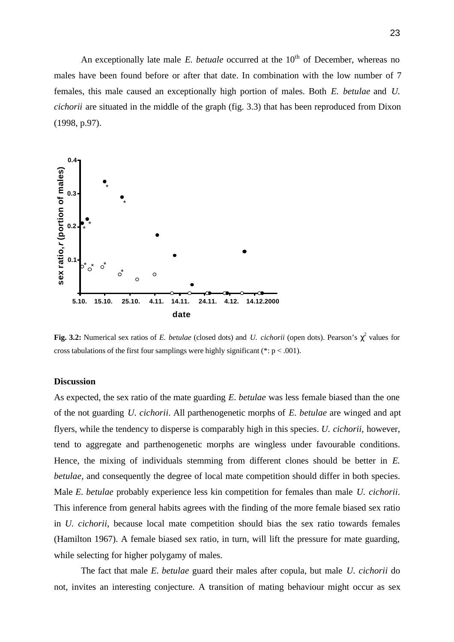An exceptionally late male *E. betuale* occurred at the 10<sup>th</sup> of December, whereas no males have been found before or after that date. In combination with the low number of 7 females, this male caused an exceptionally high portion of males. Both *E. betulae* and *U. cichorii* are situated in the middle of the graph (fig. 3.3) that has been reproduced from Dixon (1998, p.97).



**Fig. 3.2:** Numerical sex ratios of *E. betulae* (closed dots) and *U. cichorii* (open dots). Pearson's  $\chi^2$  values for cross tabulations of the first four samplings were highly significant (\*:  $p < .001$ ).

#### **Discussion**

As expected, the sex ratio of the mate guarding *E. betulae* was less female biased than the one of the not guarding *U. cichorii*. All parthenogenetic morphs of *E. betulae* are winged and apt flyers, while the tendency to disperse is comparably high in this species. *U. cichorii*, however, tend to aggregate and parthenogenetic morphs are wingless under favourable conditions. Hence, the mixing of individuals stemming from different clones should be better in *E. betulae*, and consequently the degree of local mate competition should differ in both species. Male *E. betulae* probably experience less kin competition for females than male *U. cichorii*. This inference from general habits agrees with the finding of the more female biased sex ratio in *U. cichorii*, because local mate competition should bias the sex ratio towards females (Hamilton 1967). A female biased sex ratio, in turn, will lift the pressure for mate guarding, while selecting for higher polygamy of males. **Example 1.1**<br> **Example 1.1**<br> **Example 1.1**<br> **Example 1.2**<br> **Example 1.2**<br> **Example 1.2**<br> **Example 1.2**<br> **Example 1.2**<br> **Example 1.2**<br> **Example 1.2**<br> **Discussion**<br> **As expected, the sex ratio of the mate guarding** *E. betu* 

The fact that male *E. betulae* guard their males after copula, but male *U. cichorii* do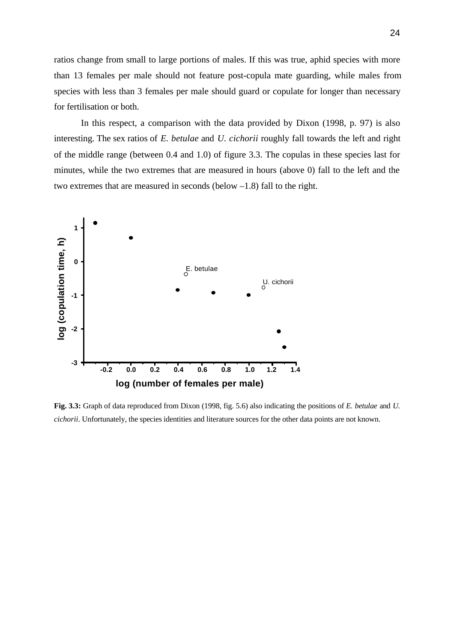ratios change from small to large portions of males. If this was true, aphid species with more than 13 females per male should not feature post-copula mate guarding, while males from species with less than 3 females per male should guard or copulate for longer than necessary for fertilisation or both.

In this respect, a comparison with the data provided by Dixon (1998, p. 97) is also interesting. The sex ratios of *E. betulae* and *U. cichorii* roughly fall towards the left and right of the middle range (between 0.4 and 1.0) of figure 3.3. The copulas in these species last for minutes, while the two extremes that are measured in hours (above 0) fall to the left and the two extremes that are measured in seconds (below –1.8) fall to the right.



**Fig. 3.3:** Graph of data reproduced from Dixon (1998, fig. 5.6) also indicating the positions of *E. betulae* and *U. cichorii*. Unfortunately, the species identities and literature sources for the other data points are not known.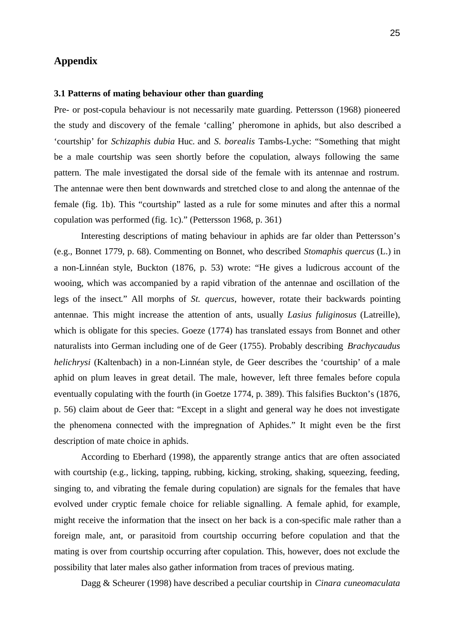### **Appendix**

#### **3.1 Patterns of mating behaviour other than guarding**

Pre- or post-copula behaviour is not necessarily mate guarding. Pettersson (1968) pioneered the study and discovery of the female 'calling' pheromone in aphids, but also described a 'courtship' for *Schizaphis dubia* Huc. and *S. borealis* Tambs-Lyche: "Something that might be a male courtship was seen shortly before the copulation, always following the same pattern. The male investigated the dorsal side of the female with its antennae and rostrum. The antennae were then bent downwards and stretched close to and along the antennae of the female (fig. 1b). This "courtship" lasted as a rule for some minutes and after this a normal copulation was performed (fig. 1c)." (Pettersson 1968, p. 361)

Interesting descriptions of mating behaviour in aphids are far older than Pettersson's (e.g., Bonnet 1779, p. 68). Commenting on Bonnet, who described *Stomaphis quercus* (L.) in a non-Linnéan style, Buckton (1876, p. 53) wrote: "He gives a ludicrous account of the wooing, which was accompanied by a rapid vibration of the antennae and oscillation of the legs of the insect." All morphs of *St. quercus*, however, rotate their backwards pointing antennae. This might increase the attention of ants, usually *Lasius fuliginosus* (Latreille), which is obligate for this species. Goeze (1774) has translated essays from Bonnet and other naturalists into German including one of de Geer (1755). Probably describing *Brachycaudus helichrysi* (Kaltenbach) in a non-Linnéan style, de Geer describes the 'courtship' of a male aphid on plum leaves in great detail. The male, however, left three females before copula eventually copulating with the fourth (in Goetze 1774, p. 389). This falsifies Buckton's (1876, p. 56) claim about de Geer that: "Except in a slight and general way he does not investigate the phenomena connected with the impregnation of Aphides." It might even be the first description of mate choice in aphids.

According to Eberhard (1998), the apparently strange antics that are often associated with courtship (e.g., licking, tapping, rubbing, kicking, stroking, shaking, squeezing, feeding, singing to, and vibrating the female during copulation) are signals for the females that have evolved under cryptic female choice for reliable signalling. A female aphid, for example, might receive the information that the insect on her back is a con-specific male rather than a foreign male, ant, or parasitoid from courtship occurring before copulation and that the mating is over from courtship occurring after copulation. This, however, does not exclude the possibility that later males also gather information from traces of previous mating.

Dagg & Scheurer (1998) have described a peculiar courtship in *Cinara cuneomaculata*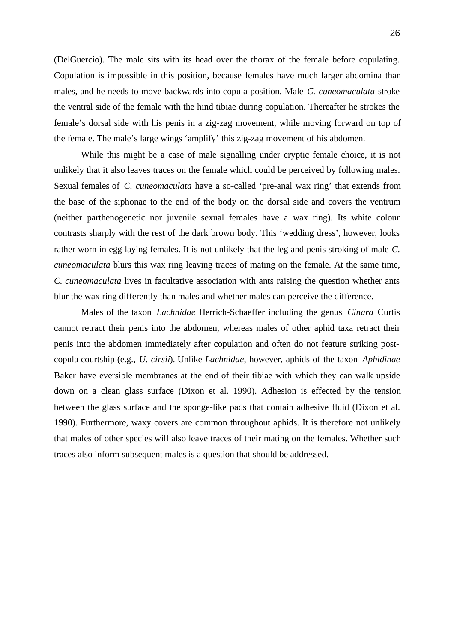(DelGuercio). The male sits with its head over the thorax of the female before copulating. Copulation is impossible in this position, because females have much larger abdomina than males, and he needs to move backwards into copula-position. Male *C. cuneomaculata* stroke the ventral side of the female with the hind tibiae during copulation. Thereafter he strokes the female's dorsal side with his penis in a zig-zag movement, while moving forward on top of the female. The male's large wings 'amplify' this zig-zag movement of his abdomen.

While this might be a case of male signalling under cryptic female choice, it is not unlikely that it also leaves traces on the female which could be perceived by following males. Sexual females of *C. cuneomaculata* have a so-called 'pre-anal wax ring' that extends from the base of the siphonae to the end of the body on the dorsal side and covers the ventrum (neither parthenogenetic nor juvenile sexual females have a wax ring). Its white colour contrasts sharply with the rest of the dark brown body. This 'wedding dress', however, looks rather worn in egg laying females. It is not unlikely that the leg and penis stroking of male *C. cuneomaculata* blurs this wax ring leaving traces of mating on the female. At the same time, *C. cuneomaculata* lives in facultative association with ants raising the question whether ants blur the wax ring differently than males and whether males can perceive the difference.

Males of the taxon *Lachnidae* Herrich-Schaeffer including the genus *Cinara* Curtis cannot retract their penis into the abdomen, whereas males of other aphid taxa retract their penis into the abdomen immediately after copulation and often do not feature striking postcopula courtship (e.g., *U. cirsii*). Unlike *Lachnidae*, however, aphids of the taxon *Aphidinae* Baker have eversible membranes at the end of their tibiae with which they can walk upside down on a clean glass surface (Dixon et al. 1990). Adhesion is effected by the tension between the glass surface and the sponge-like pads that contain adhesive fluid (Dixon et al. 1990). Furthermore, waxy covers are common throughout aphids. It is therefore not unlikely that males of other species will also leave traces of their mating on the females. Whether such traces also inform subsequent males is a question that should be addressed.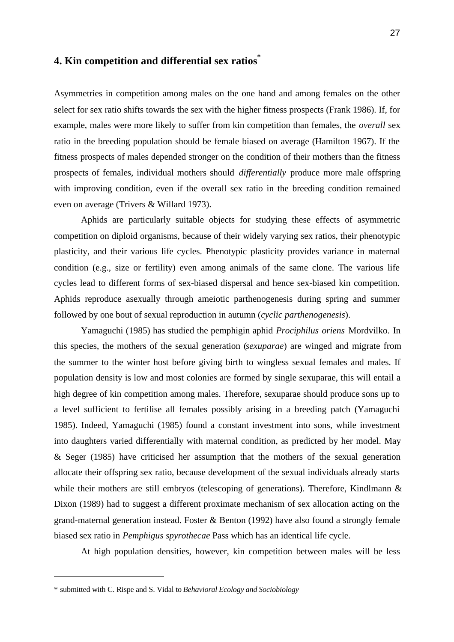# **4. Kin competition and differential sex ratios\***

Asymmetries in competition among males on the one hand and among females on the other select for sex ratio shifts towards the sex with the higher fitness prospects (Frank 1986). If, for example, males were more likely to suffer from kin competition than females, the *overall* sex ratio in the breeding population should be female biased on average (Hamilton 1967). If the fitness prospects of males depended stronger on the condition of their mothers than the fitness prospects of females, individual mothers should *differentially* produce more male offspring with improving condition, even if the overall sex ratio in the breeding condition remained even on average (Trivers & Willard 1973).

Aphids are particularly suitable objects for studying these effects of asymmetric competition on diploid organisms, because of their widely varying sex ratios, their phenotypic plasticity, and their various life cycles. Phenotypic plasticity provides variance in maternal condition (e.g., size or fertility) even among animals of the same clone. The various life cycles lead to different forms of sex-biased dispersal and hence sex-biased kin competition. Aphids reproduce asexually through ameiotic parthenogenesis during spring and summer followed by one bout of sexual reproduction in autumn (*cyclic parthenogenesis*).

Yamaguchi (1985) has studied the pemphigin aphid *Prociphilus oriens* Mordvilko. In this species, the mothers of the sexual generation (*sexuparae*) are winged and migrate from the summer to the winter host before giving birth to wingless sexual females and males. If population density is low and most colonies are formed by single sexuparae, this will entail a high degree of kin competition among males. Therefore, sexuparae should produce sons up to a level sufficient to fertilise all females possibly arising in a breeding patch (Yamaguchi 1985). Indeed, Yamaguchi (1985) found a constant investment into sons, while investment into daughters varied differentially with maternal condition, as predicted by her model. May & Seger (1985) have criticised her assumption that the mothers of the sexual generation allocate their offspring sex ratio, because development of the sexual individuals already starts while their mothers are still embryos (telescoping of generations). Therefore, Kindlmann & Dixon (1989) had to suggest a different proximate mechanism of sex allocation acting on the grand-maternal generation instead. Foster & Benton (1992) have also found a strongly female biased sex ratio in *Pemphigus spyrothecae* Pass which has an identical life cycle.

At high population densities, however, kin competition between males will be less

l

<sup>\*</sup> submitted with C. Rispe and S. Vidal to *Behavioral Ecology and Sociobiology*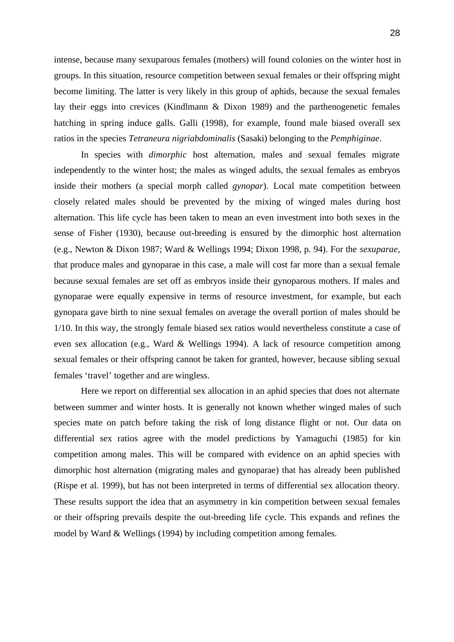intense, because many sexuparous females (mothers) will found colonies on the winter host in groups. In this situation, resource competition between sexual females or their offspring might become limiting. The latter is very likely in this group of aphids, because the sexual females lay their eggs into crevices (Kindlmann & Dixon 1989) and the parthenogenetic females hatching in spring induce galls. Galli (1998), for example, found male biased overall sex ratios in the species *Tetraneura nigriabdominalis* (Sasaki) belonging to the *Pemphiginae*.

In species with *dimorphic* host alternation, males and sexual females migrate independently to the winter host; the males as winged adults, the sexual females as embryos inside their mothers (a special morph called *gynopar*). Local mate competition between closely related males should be prevented by the mixing of winged males during host alternation. This life cycle has been taken to mean an even investment into both sexes in the sense of Fisher (1930), because out-breeding is ensured by the dimorphic host alternation (e.g., Newton & Dixon 1987; Ward & Wellings 1994; Dixon 1998, p. 94). For the *sexuparae*, that produce males and gynoparae in this case, a male will cost far more than a sexual female because sexual females are set off as embryos inside their gynoparous mothers. If males and gynoparae were equally expensive in terms of resource investment, for example, but each gynopara gave birth to nine sexual females on average the overall portion of males should be 1/10. In this way, the strongly female biased sex ratios would nevertheless constitute a case of even sex allocation (e.g., Ward & Wellings 1994). A lack of resource competition among sexual females or their offspring cannot be taken for granted, however, because sibling sexual females 'travel' together and are wingless.

Here we report on differential sex allocation in an aphid species that does not alternate between summer and winter hosts. It is generally not known whether winged males of such species mate on patch before taking the risk of long distance flight or not. Our data on differential sex ratios agree with the model predictions by Yamaguchi (1985) for kin competition among males. This will be compared with evidence on an aphid species with dimorphic host alternation (migrating males and gynoparae) that has already been published (Rispe et al. 1999), but has not been interpreted in terms of differential sex allocation theory. These results support the idea that an asymmetry in kin competition between sexual females or their offspring prevails despite the out-breeding life cycle. This expands and refines the model by Ward & Wellings (1994) by including competition among females.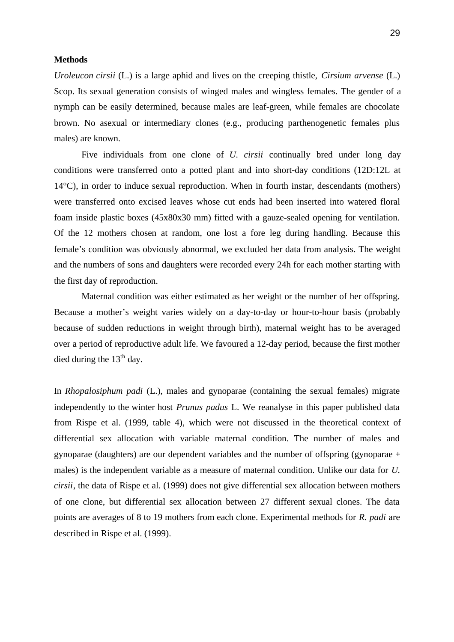#### **Methods**

*Uroleucon cirsii* (L.) is a large aphid and lives on the creeping thistle, *Cirsium arvense* (L.) Scop. Its sexual generation consists of winged males and wingless females. The gender of a nymph can be easily determined, because males are leaf-green, while females are chocolate brown. No asexual or intermediary clones (e.g., producing parthenogenetic females plus males) are known.

Five individuals from one clone of *U. cirsii* continually bred under long day conditions were transferred onto a potted plant and into short-day conditions (12D:12L at 14°C), in order to induce sexual reproduction. When in fourth instar, descendants (mothers) were transferred onto excised leaves whose cut ends had been inserted into watered floral foam inside plastic boxes (45x80x30 mm) fitted with a gauze-sealed opening for ventilation. Of the 12 mothers chosen at random, one lost a fore leg during handling. Because this female's condition was obviously abnormal, we excluded her data from analysis. The weight and the numbers of sons and daughters were recorded every 24h for each mother starting with the first day of reproduction.

Maternal condition was either estimated as her weight or the number of her offspring. Because a mother's weight varies widely on a day-to-day or hour-to-hour basis (probably because of sudden reductions in weight through birth), maternal weight has to be averaged over a period of reproductive adult life. We favoured a 12-day period, because the first mother died during the  $13<sup>th</sup>$  day.

In *Rhopalosiphum padi* (L.), males and gynoparae (containing the sexual females) migrate independently to the winter host *Prunus padus* L. We reanalyse in this paper published data from Rispe et al. (1999, table 4), which were not discussed in the theoretical context of differential sex allocation with variable maternal condition. The number of males and gynoparae (daughters) are our dependent variables and the number of offspring (gynoparae + males) is the independent variable as a measure of maternal condition. Unlike our data for *U. cirsii*, the data of Rispe et al. (1999) does not give differential sex allocation between mothers of one clone, but differential sex allocation between 27 different sexual clones. The data points are averages of 8 to 19 mothers from each clone. Experimental methods for *R. padi* are described in Rispe et al. (1999).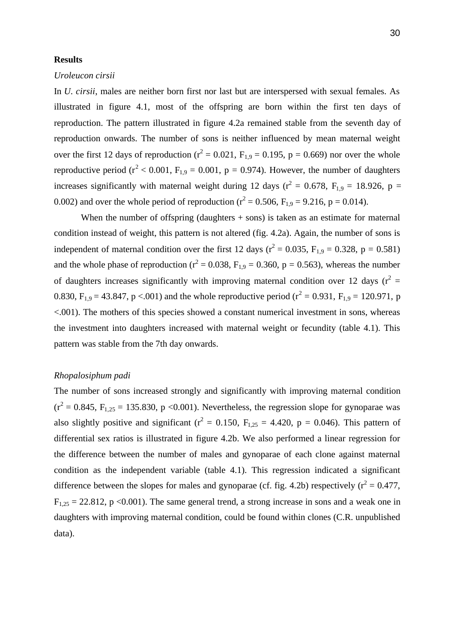#### **Results**

#### *Uroleucon cirsii*

In *U. cirsii*, males are neither born first nor last but are interspersed with sexual females. As illustrated in figure 4.1, most of the offspring are born within the first ten days of reproduction. The pattern illustrated in figure 4.2a remained stable from the seventh day of reproduction onwards. The number of sons is neither influenced by mean maternal weight over the first 12 days of reproduction ( $r^2 = 0.021$ ,  $F_{1,9} = 0.195$ ,  $p = 0.669$ ) nor over the whole reproductive period ( $r^2$  < 0.001, F<sub>1,9</sub> = 0.001, p = 0.974). However, the number of daughters increases significantly with maternal weight during 12 days ( $r^2 = 0.678$ ,  $F_{1,9} = 18.926$ , p = 0.002) and over the whole period of reproduction ( $r^2 = 0.506$ ,  $F_{1,9} = 9.216$ ,  $p = 0.014$ ).

When the number of offspring (daughters  $+$  sons) is taken as an estimate for maternal condition instead of weight, this pattern is not altered (fig. 4.2a). Again, the number of sons is independent of maternal condition over the first 12 days ( $r^2 = 0.035$ ,  $F_{1,9} = 0.328$ ,  $p = 0.581$ ) and the whole phase of reproduction ( $r^2 = 0.038$ ,  $F_{1,9} = 0.360$ ,  $p = 0.563$ ), whereas the number of daughters increases significantly with improving maternal condition over 12 days ( $r^2 =$ 0.830,  $F_{1,9} = 43.847$ , p <.001) and the whole reproductive period ( $r^2 = 0.931$ ,  $F_{1,9} = 120.971$ , p <.001). The mothers of this species showed a constant numerical investment in sons, whereas the investment into daughters increased with maternal weight or fecundity (table 4.1). This pattern was stable from the 7th day onwards.

#### *Rhopalosiphum padi*

The number of sons increased strongly and significantly with improving maternal condition  $(r^2 = 0.845, F_{1,25} = 135.830, p < 0.001)$ . Nevertheless, the regression slope for gynoparae was also slightly positive and significant ( $r^2 = 0.150$ ,  $F_{1,25} = 4.420$ ,  $p = 0.046$ ). This pattern of differential sex ratios is illustrated in figure 4.2b. We also performed a linear regression for the difference between the number of males and gynoparae of each clone against maternal condition as the independent variable (table 4.1). This regression indicated a significant difference between the slopes for males and gynoparae (cf. fig. 4.2b) respectively ( $r^2 = 0.477$ ,  $F_{1,25} = 22.812$ , p <0.001). The same general trend, a strong increase in sons and a weak one in daughters with improving maternal condition, could be found within clones (C.R. unpublished data).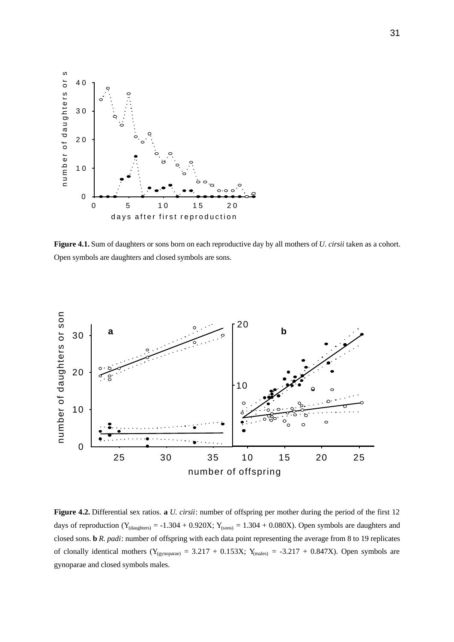

**Figure 4.1.** Sum of daughters or sons born on each reproductive day by all mothers of *U. cirsii* taken as a cohort. Open symbols are daughters and closed symbols are sons.



**Figure 4.2.** Differential sex ratios. **a** *U. cirsii*: number of offspring per mother during the period of the first 12 days of reproduction ( $Y_{(daughters)} = -1.304 + 0.920X$ ;  $Y_{(sons)} = 1.304 + 0.080X$ ). Open symbols are daughters and closed sons. **b** *R. padi*: number of offspring with each data point representing the average from 8 to 19 replicates of clonally identical mothers ( $Y_{(gynoparae)} = 3.217 + 0.153X$ ;  $Y_{(males)} = -3.217 + 0.847X$ ). Open symbols are gynoparae and closed symbols males.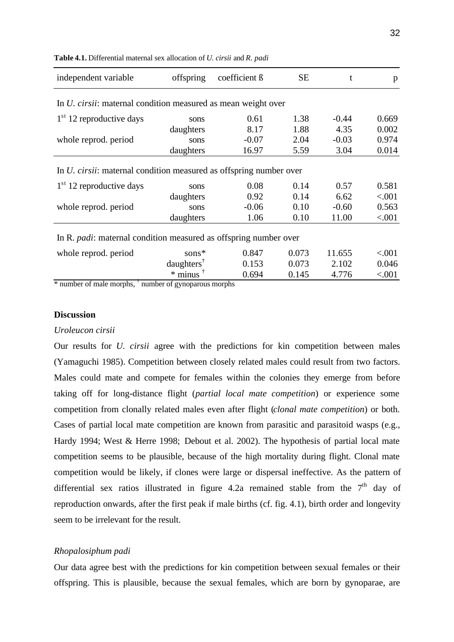| offspring                                 | coefficient ß | <b>SE</b> | t                                                                                                                                                                                                                             | p       |
|-------------------------------------------|---------------|-----------|-------------------------------------------------------------------------------------------------------------------------------------------------------------------------------------------------------------------------------|---------|
|                                           |               |           |                                                                                                                                                                                                                               |         |
| sons                                      | 0.61          | 1.38      | $-0.44$                                                                                                                                                                                                                       | 0.669   |
| daughters                                 | 8.17          | 1.88      | 4.35                                                                                                                                                                                                                          | 0.002   |
| sons                                      | $-0.07$       | 2.04      | $-0.03$                                                                                                                                                                                                                       | 0.974   |
| daughters                                 | 16.97         | 5.59      | 3.04                                                                                                                                                                                                                          | 0.014   |
|                                           |               |           |                                                                                                                                                                                                                               |         |
| sons                                      | 0.08          | 0.14      | 0.57                                                                                                                                                                                                                          | 0.581   |
| daughters                                 | 0.92          | 0.14      | 6.62                                                                                                                                                                                                                          | < .001  |
| sons                                      | $-0.06$       | 0.10      | $-0.60$                                                                                                                                                                                                                       | 0.563   |
| daughters                                 | 1.06          | 0.10      | 11.00                                                                                                                                                                                                                         | < .001  |
|                                           |               |           |                                                                                                                                                                                                                               |         |
| sons*                                     | 0.847         | 0.073     | 11.655                                                                                                                                                                                                                        | < 0.001 |
| daughters <sup><math>\bar{ }</math></sup> | 0.153         | 0.073     | 2.102                                                                                                                                                                                                                         | 0.046   |
| $*$ minus <sup>†</sup>                    | 0.694         | 0.145     | 4.776                                                                                                                                                                                                                         | < .001  |
|                                           |               |           | In <i>U. cirsii:</i> maternal condition measured as mean weight over<br>In <i>U. cirsii:</i> maternal condition measured as offspring number over<br>In R. <i>padi</i> : maternal condition measured as offspring number over |         |

**Table 4.1.** Differential maternal sex allocation of *U. cirsii* and *R. padi*

\* number of male morphs, † number of gynoparous morphs

#### **Discussion**

#### *Uroleucon cirsii*

Our results for *U. cirsii* agree with the predictions for kin competition between males (Yamaguchi 1985). Competition between closely related males could result from two factors. Males could mate and compete for females within the colonies they emerge from before taking off for long-distance flight (*partial local mate competition*) or experience some competition from clonally related males even after flight (*clonal mate competition*) or both. Cases of partial local mate competition are known from parasitic and parasitoid wasps (e.g., Hardy 1994; West & Herre 1998; Debout et al. 2002). The hypothesis of partial local mate competition seems to be plausible, because of the high mortality during flight. Clonal mate competition would be likely, if clones were large or dispersal ineffective. As the pattern of differential sex ratios illustrated in figure 4.2a remained stable from the  $7<sup>th</sup>$  day of reproduction onwards, after the first peak if male births (cf. fig. 4.1), birth order and longevity seem to be irrelevant for the result.

## *Rhopalosiphum padi*

Our data agree best with the predictions for kin competition between sexual females or their offspring. This is plausible, because the sexual females, which are born by gynoparae, are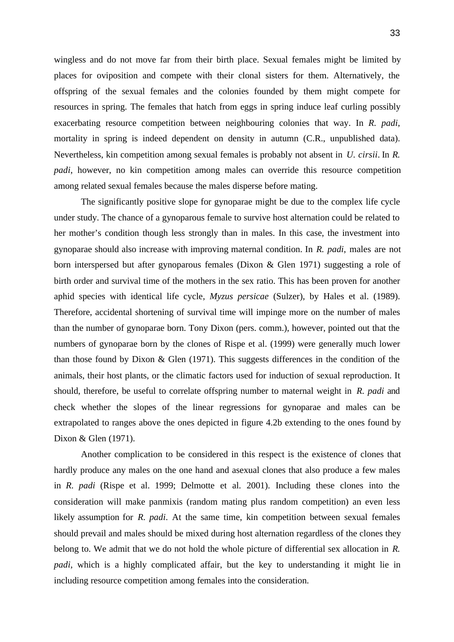wingless and do not move far from their birth place. Sexual females might be limited by places for oviposition and compete with their clonal sisters for them. Alternatively, the offspring of the sexual females and the colonies founded by them might compete for resources in spring. The females that hatch from eggs in spring induce leaf curling possibly exacerbating resource competition between neighbouring colonies that way. In *R. padi*, mortality in spring is indeed dependent on density in autumn (C.R., unpublished data). Nevertheless, kin competition among sexual females is probably not absent in *U. cirsii*. In *R. padi*, however, no kin competition among males can override this resource competition among related sexual females because the males disperse before mating.

The significantly positive slope for gynoparae might be due to the complex life cycle under study. The chance of a gynoparous female to survive host alternation could be related to her mother's condition though less strongly than in males. In this case, the investment into gynoparae should also increase with improving maternal condition. In *R. padi*, males are not born interspersed but after gynoparous females (Dixon & Glen 1971) suggesting a role of birth order and survival time of the mothers in the sex ratio. This has been proven for another aphid species with identical life cycle, *Myzus persicae* (Sulzer), by Hales et al. (1989). Therefore, accidental shortening of survival time will impinge more on the number of males than the number of gynoparae born. Tony Dixon (pers. comm.), however, pointed out that the numbers of gynoparae born by the clones of Rispe et al. (1999) were generally much lower than those found by Dixon & Glen (1971). This suggests differences in the condition of the animals, their host plants, or the climatic factors used for induction of sexual reproduction. It should, therefore, be useful to correlate offspring number to maternal weight in *R. padi* and check whether the slopes of the linear regressions for gynoparae and males can be extrapolated to ranges above the ones depicted in figure 4.2b extending to the ones found by Dixon & Glen (1971).

Another complication to be considered in this respect is the existence of clones that hardly produce any males on the one hand and asexual clones that also produce a few males in *R. padi* (Rispe et al. 1999; Delmotte et al. 2001). Including these clones into the consideration will make panmixis (random mating plus random competition) an even less likely assumption for *R. padi*. At the same time, kin competition between sexual females should prevail and males should be mixed during host alternation regardless of the clones they belong to. We admit that we do not hold the whole picture of differential sex allocation in *R. padi*, which is a highly complicated affair, but the key to understanding it might lie in including resource competition among females into the consideration.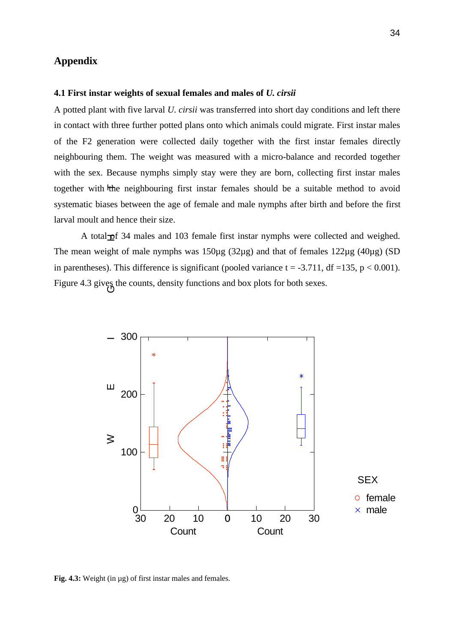## **Appendix**

#### **4.1 First instar weights of sexual females and males of** *U. cirsii*

A potted plant with five larval *U. cirsii* was transferred into short day conditions and left there in contact with three further potted plans onto which animals could migrate. First instar males of the F2 generation were collected daily together with the first instar females directly neighbouring them. The weight was measured with a micro-balance and recorded together with the sex. Because nymphs simply stay were they are born, collecting first instar males together with the neighbouring first instar females should be a suitable method to avoid systematic biases between the age of female and male nymphs after birth and before the first larval moult and hence their size.

A total $\frac{1}{2}$  of 34 males and 103 female first instar nymphs were collected and weighed. The mean weight of male nymphs was 150µg (32µg) and that of females 122µg (40µg) (SD in parentheses). This difference is significant (pooled variance  $t = -3.711$ , df =135, p < 0.001). Figure 4.3 gives the counts, density functions and box plots for both sexes.



**Fig. 4.3:** Weight (in µg) of first instar males and females.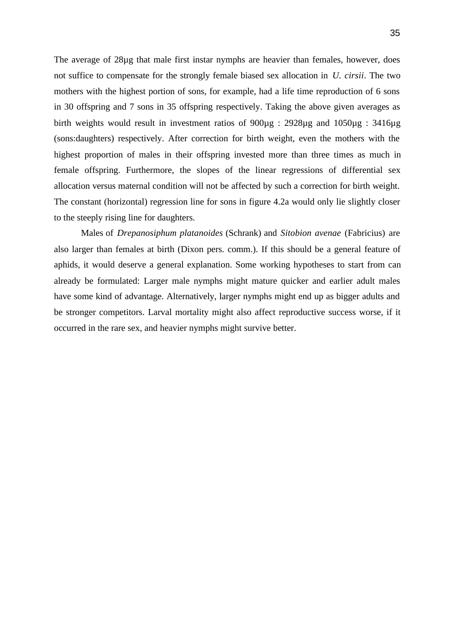The average of 28µg that male first instar nymphs are heavier than females, however, does not suffice to compensate for the strongly female biased sex allocation in *U. cirsii*. The two mothers with the highest portion of sons, for example, had a life time reproduction of 6 sons in 30 offspring and 7 sons in 35 offspring respectively. Taking the above given averages as birth weights would result in investment ratios of 900µg : 2928µg and 1050µg : 3416µg (sons:daughters) respectively. After correction for birth weight, even the mothers with the highest proportion of males in their offspring invested more than three times as much in female offspring. Furthermore, the slopes of the linear regressions of differential sex allocation versus maternal condition will not be affected by such a correction for birth weight. The constant (horizontal) regression line for sons in figure 4.2a would only lie slightly closer to the steeply rising line for daughters.

Males of *Drepanosiphum platanoides* (Schrank) and *Sitobion avenae* (Fabricius) are also larger than females at birth (Dixon pers. comm.). If this should be a general feature of aphids, it would deserve a general explanation. Some working hypotheses to start from can already be formulated: Larger male nymphs might mature quicker and earlier adult males have some kind of advantage. Alternatively, larger nymphs might end up as bigger adults and be stronger competitors. Larval mortality might also affect reproductive success worse, if it occurred in the rare sex, and heavier nymphs might survive better.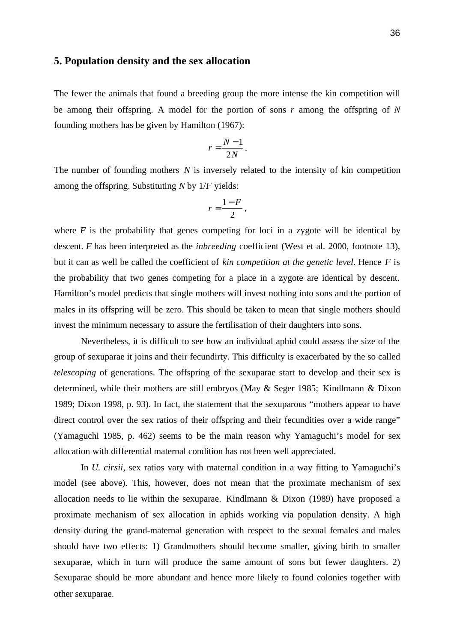### **5. Population density and the sex allocation**

The fewer the animals that found a breeding group the more intense the kin competition will be among their offspring. A model for the portion of sons *r* among the offspring of *N* founding mothers has be given by Hamilton (1967):

$$
r=\frac{N-1}{2N}.
$$

The number of founding mothers *N* is inversely related to the intensity of kin competition among the offspring. Substituting *N* by 1/*F* yields:

$$
r=\frac{1-F}{2},
$$

where  $F$  is the probability that genes competing for loci in a zygote will be identical by descent. *F* has been interpreted as the *inbreeding* coefficient (West et al. 2000, footnote 13), but it can as well be called the coefficient of *kin competition at the genetic level*. Hence *F* is the probability that two genes competing for a place in a zygote are identical by descent. Hamilton's model predicts that single mothers will invest nothing into sons and the portion of males in its offspring will be zero. This should be taken to mean that single mothers should invest the minimum necessary to assure the fertilisation of their daughters into sons.

Nevertheless, it is difficult to see how an individual aphid could assess the size of the group of sexuparae it joins and their fecundirty. This difficulty is exacerbated by the so called *telescoping* of generations. The offspring of the sexuparae start to develop and their sex is determined, while their mothers are still embryos (May & Seger 1985; Kindlmann & Dixon 1989; Dixon 1998, p. 93). In fact, the statement that the sexuparous "mothers appear to have direct control over the sex ratios of their offspring and their fecundities over a wide range" (Yamaguchi 1985, p. 462) seems to be the main reason why Yamaguchi's model for sex allocation with differential maternal condition has not been well appreciated.

In *U. cirsii*, sex ratios vary with maternal condition in a way fitting to Yamaguchi's model (see above). This, however, does not mean that the proximate mechanism of sex allocation needs to lie within the sexuparae. Kindlmann & Dixon (1989) have proposed a proximate mechanism of sex allocation in aphids working via population density. A high density during the grand-maternal generation with respect to the sexual females and males should have two effects: 1) Grandmothers should become smaller, giving birth to smaller sexuparae, which in turn will produce the same amount of sons but fewer daughters. 2) Sexuparae should be more abundant and hence more likely to found colonies together with other sexuparae.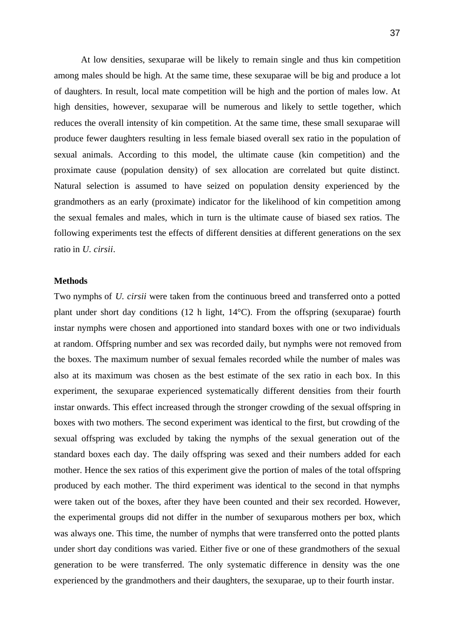At low densities, sexuparae will be likely to remain single and thus kin competition among males should be high. At the same time, these sexuparae will be big and produce a lot of daughters. In result, local mate competition will be high and the portion of males low. At high densities, however, sexuparae will be numerous and likely to settle together, which reduces the overall intensity of kin competition. At the same time, these small sexuparae will produce fewer daughters resulting in less female biased overall sex ratio in the population of sexual animals. According to this model, the ultimate cause (kin competition) and the proximate cause (population density) of sex allocation are correlated but quite distinct. Natural selection is assumed to have seized on population density experienced by the grandmothers as an early (proximate) indicator for the likelihood of kin competition among the sexual females and males, which in turn is the ultimate cause of biased sex ratios. The following experiments test the effects of different densities at different generations on the sex ratio in *U. cirsii*.

#### **Methods**

Two nymphs of *U. cirsii* were taken from the continuous breed and transferred onto a potted plant under short day conditions (12 h light, 14°C). From the offspring (sexuparae) fourth instar nymphs were chosen and apportioned into standard boxes with one or two individuals at random. Offspring number and sex was recorded daily, but nymphs were not removed from the boxes. The maximum number of sexual females recorded while the number of males was also at its maximum was chosen as the best estimate of the sex ratio in each box. In this experiment, the sexuparae experienced systematically different densities from their fourth instar onwards. This effect increased through the stronger crowding of the sexual offspring in boxes with two mothers. The second experiment was identical to the first, but crowding of the sexual offspring was excluded by taking the nymphs of the sexual generation out of the standard boxes each day. The daily offspring was sexed and their numbers added for each mother. Hence the sex ratios of this experiment give the portion of males of the total offspring produced by each mother. The third experiment was identical to the second in that nymphs were taken out of the boxes, after they have been counted and their sex recorded. However, the experimental groups did not differ in the number of sexuparous mothers per box, which was always one. This time, the number of nymphs that were transferred onto the potted plants under short day conditions was varied. Either five or one of these grandmothers of the sexual generation to be were transferred. The only systematic difference in density was the one experienced by the grandmothers and their daughters, the sexuparae, up to their fourth instar.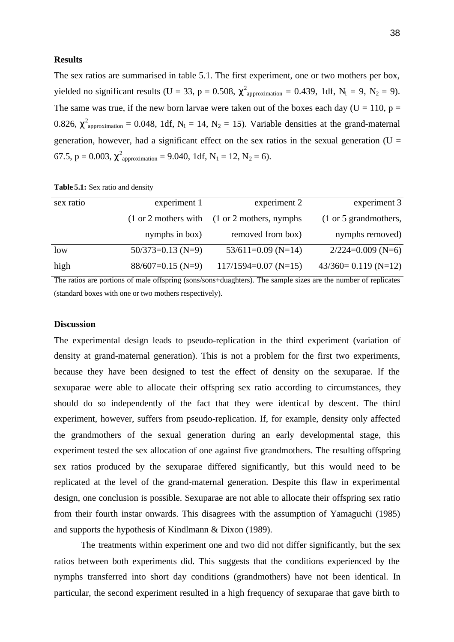#### **Results**

The sex ratios are summarised in table 5.1. The first experiment, one or two mothers per box, yielded no significant results (U = 33, p = 0.508,  $\chi^2$ <sub>approximation</sub> = 0.439, 1df, N<sub>1</sub> = 9, N<sub>2</sub> = 9). The same was true, if the new born larvae were taken out of the boxes each day ( $U = 110$ ,  $p =$ 0.826,  $\chi^2$ <sub>approximation</sub> = 0.048, 1df, N<sub>1</sub> = 14, N<sub>2</sub> = 15). Variable densities at the grand-maternal generation, however, had a significant effect on the sex ratios in the sexual generation ( $U =$ 67.5,  $p = 0.003$ ,  $\chi^2$ <sub>approximation</sub> = 9.040, 1df, N<sub>1</sub> = 12, N<sub>2</sub> = 6).

| sex ratio | experiment 1                             | experiment 2                                       | experiment 3            |
|-----------|------------------------------------------|----------------------------------------------------|-------------------------|
|           | $(1 \text{ or } 2 \text{ mothers with})$ | $(1 \text{ or } 2 \text{ mothers}, \text{nymphs})$ | (1 or 5 grand mothers,  |
|           | nymphs in box)                           | removed from box)                                  | nymphs removed)         |
| low       | $50/373=0.13$ (N=9)                      | $53/611=0.09$ (N=14)                               | $2/224=0.009$ (N=6)     |
| high      | $88/607=0.15$ (N=9)                      | $117/1594=0.07$ (N=15)                             | $43/360 = 0.119$ (N=12) |

**Table 5.1:** Sex ratio and density

The ratios are portions of male offspring (sons/sons+duaghters). The sample sizes are the number of replicates (standard boxes with one or two mothers respectively).

#### **Discussion**

The experimental design leads to pseudo-replication in the third experiment (variation of density at grand-maternal generation). This is not a problem for the first two experiments, because they have been designed to test the effect of density on the sexuparae. If the sexuparae were able to allocate their offspring sex ratio according to circumstances, they should do so independently of the fact that they were identical by descent. The third experiment, however, suffers from pseudo-replication. If, for example, density only affected the grandmothers of the sexual generation during an early developmental stage, this experiment tested the sex allocation of one against five grandmothers. The resulting offspring sex ratios produced by the sexuparae differed significantly, but this would need to be replicated at the level of the grand-maternal generation. Despite this flaw in experimental design, one conclusion is possible. Sexuparae are not able to allocate their offspring sex ratio from their fourth instar onwards. This disagrees with the assumption of Yamaguchi (1985) and supports the hypothesis of Kindlmann & Dixon (1989).

The treatments within experiment one and two did not differ significantly, but the sex ratios between both experiments did. This suggests that the conditions experienced by the nymphs transferred into short day conditions (grandmothers) have not been identical. In particular, the second experiment resulted in a high frequency of sexuparae that gave birth to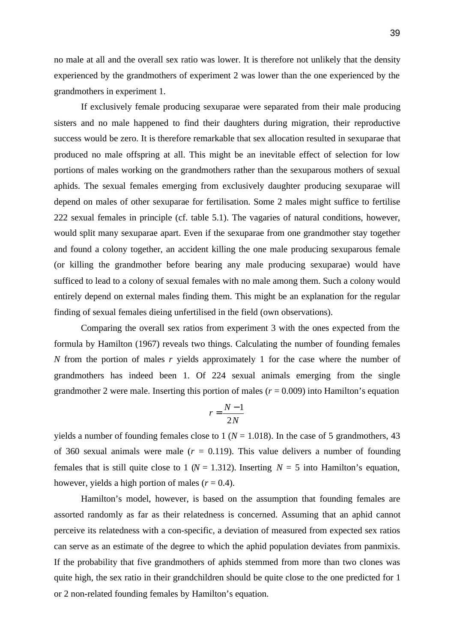no male at all and the overall sex ratio was lower. It is therefore not unlikely that the density experienced by the grandmothers of experiment 2 was lower than the one experienced by the grandmothers in experiment 1.

If exclusively female producing sexuparae were separated from their male producing sisters and no male happened to find their daughters during migration, their reproductive success would be zero. It is therefore remarkable that sex allocation resulted in sexuparae that produced no male offspring at all. This might be an inevitable effect of selection for low portions of males working on the grandmothers rather than the sexuparous mothers of sexual aphids. The sexual females emerging from exclusively daughter producing sexuparae will depend on males of other sexuparae for fertilisation. Some 2 males might suffice to fertilise 222 sexual females in principle (cf. table 5.1). The vagaries of natural conditions, however, would split many sexuparae apart. Even if the sexuparae from one grandmother stay together and found a colony together, an accident killing the one male producing sexuparous female (or killing the grandmother before bearing any male producing sexuparae) would have sufficed to lead to a colony of sexual females with no male among them. Such a colony would entirely depend on external males finding them. This might be an explanation for the regular finding of sexual females dieing unfertilised in the field (own observations).

Comparing the overall sex ratios from experiment 3 with the ones expected from the formula by Hamilton (1967) reveals two things. Calculating the number of founding females *N* from the portion of males *r* yields approximately 1 for the case where the number of grandmothers has indeed been 1. Of 224 sexual animals emerging from the single grandmother 2 were male. Inserting this portion of males  $(r = 0.009)$  into Hamilton's equation

$$
r = \frac{N-1}{2N}
$$

yields a number of founding females close to  $1 (N = 1.018)$ . In the case of 5 grandmothers, 43 of 360 sexual animals were male  $(r = 0.119)$ . This value delivers a number of founding females that is still quite close to 1 ( $N = 1.312$ ). Inserting  $N = 5$  into Hamilton's equation, however, yields a high portion of males  $(r = 0.4)$ .

Hamilton's model, however, is based on the assumption that founding females are assorted randomly as far as their relatedness is concerned. Assuming that an aphid cannot perceive its relatedness with a con-specific, a deviation of measured from expected sex ratios can serve as an estimate of the degree to which the aphid population deviates from panmixis. If the probability that five grandmothers of aphids stemmed from more than two clones was quite high, the sex ratio in their grandchildren should be quite close to the one predicted for 1 or 2 non-related founding females by Hamilton's equation.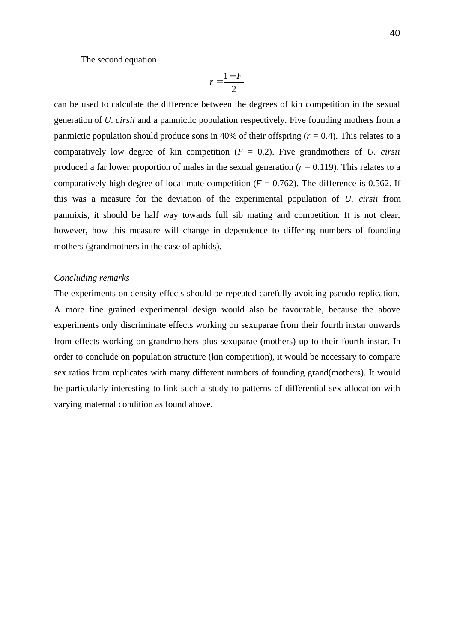The second equation

$$
r = \frac{1 - F}{2}
$$

can be used to calculate the difference between the degrees of kin competition in the sexual generation of *U. cirsii* and a panmictic population respectively. Five founding mothers from a panmictic population should produce sons in 40% of their offspring  $(r = 0.4)$ . This relates to a comparatively low degree of kin competition (*F* = 0.2). Five grandmothers of *U. cirsii* produced a far lower proportion of males in the sexual generation  $(r = 0.119)$ . This relates to a comparatively high degree of local mate competition  $(F = 0.762)$ . The difference is 0.562. If this was a measure for the deviation of the experimental population of *U. cirsii* from panmixis, it should be half way towards full sib mating and competition. It is not clear, however, how this measure will change in dependence to differing numbers of founding mothers (grandmothers in the case of aphids).

#### *Concluding remarks*

The experiments on density effects should be repeated carefully avoiding pseudo-replication. A more fine grained experimental design would also be favourable, because the above experiments only discriminate effects working on sexuparae from their fourth instar onwards from effects working on grandmothers plus sexuparae (mothers) up to their fourth instar. In order to conclude on population structure (kin competition), it would be necessary to compare sex ratios from replicates with many different numbers of founding grand(mothers). It would be particularly interesting to link such a study to patterns of differential sex allocation with varying maternal condition as found above.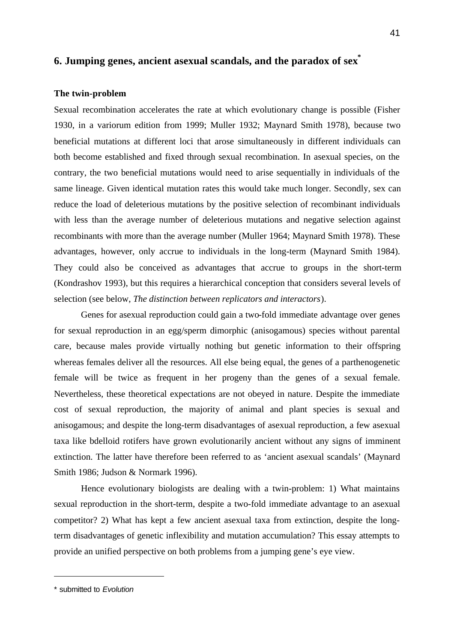## **6. Jumping genes, ancient asexual scandals, and the paradox of sex\***

#### **The twin-problem**

Sexual recombination accelerates the rate at which evolutionary change is possible (Fisher 1930, in a variorum edition from 1999; Muller 1932; Maynard Smith 1978), because two beneficial mutations at different loci that arose simultaneously in different individuals can both become established and fixed through sexual recombination. In asexual species, on the contrary, the two beneficial mutations would need to arise sequentially in individuals of the same lineage. Given identical mutation rates this would take much longer. Secondly, sex can reduce the load of deleterious mutations by the positive selection of recombinant individuals with less than the average number of deleterious mutations and negative selection against recombinants with more than the average number (Muller 1964; Maynard Smith 1978). These advantages, however, only accrue to individuals in the long-term (Maynard Smith 1984). They could also be conceived as advantages that accrue to groups in the short-term (Kondrashov 1993), but this requires a hierarchical conception that considers several levels of selection (see below, *The distinction between replicators and interactors*).

Genes for asexual reproduction could gain a two-fold immediate advantage over genes for sexual reproduction in an egg/sperm dimorphic (anisogamous) species without parental care, because males provide virtually nothing but genetic information to their offspring whereas females deliver all the resources. All else being equal, the genes of a parthenogenetic female will be twice as frequent in her progeny than the genes of a sexual female. Nevertheless, these theoretical expectations are not obeyed in nature. Despite the immediate cost of sexual reproduction, the majority of animal and plant species is sexual and anisogamous; and despite the long-term disadvantages of asexual reproduction, a few asexual taxa like bdelloid rotifers have grown evolutionarily ancient without any signs of imminent extinction. The latter have therefore been referred to as 'ancient asexual scandals' (Maynard Smith 1986; Judson & Normark 1996).

Hence evolutionary biologists are dealing with a twin-problem: 1) What maintains sexual reproduction in the short-term, despite a two-fold immediate advantage to an asexual competitor? 2) What has kept a few ancient asexual taxa from extinction, despite the longterm disadvantages of genetic inflexibility and mutation accumulation? This essay attempts to provide an unified perspective on both problems from a jumping gene's eye view.

l

<sup>41</sup>

<sup>\*</sup> submitted to *Evolution*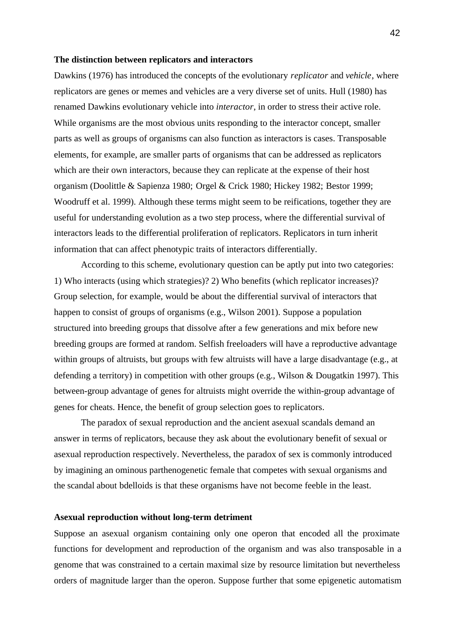#### **The distinction between replicators and interactors**

Dawkins (1976) has introduced the concepts of the evolutionary *replicator* and *vehicle*, where replicators are genes or memes and vehicles are a very diverse set of units. Hull (1980) has renamed Dawkins evolutionary vehicle into *interactor*, in order to stress their active role. While organisms are the most obvious units responding to the interactor concept, smaller parts as well as groups of organisms can also function as interactors is cases. Transposable elements, for example, are smaller parts of organisms that can be addressed as replicators which are their own interactors, because they can replicate at the expense of their host organism (Doolittle & Sapienza 1980; Orgel & Crick 1980; Hickey 1982; Bestor 1999; Woodruff et al. 1999). Although these terms might seem to be reifications, together they are useful for understanding evolution as a two step process, where the differential survival of interactors leads to the differential proliferation of replicators. Replicators in turn inherit information that can affect phenotypic traits of interactors differentially.

According to this scheme, evolutionary question can be aptly put into two categories: 1) Who interacts (using which strategies)? 2) Who benefits (which replicator increases)? Group selection, for example, would be about the differential survival of interactors that happen to consist of groups of organisms (e.g., Wilson 2001). Suppose a population structured into breeding groups that dissolve after a few generations and mix before new breeding groups are formed at random. Selfish freeloaders will have a reproductive advantage within groups of altruists, but groups with few altruists will have a large disadvantage (e.g., at defending a territory) in competition with other groups (e.g., Wilson & Dougatkin 1997). This between-group advantage of genes for altruists might override the within-group advantage of genes for cheats. Hence, the benefit of group selection goes to replicators.

The paradox of sexual reproduction and the ancient asexual scandals demand an answer in terms of replicators, because they ask about the evolutionary benefit of sexual or asexual reproduction respectively. Nevertheless, the paradox of sex is commonly introduced by imagining an ominous parthenogenetic female that competes with sexual organisms and the scandal about bdelloids is that these organisms have not become feeble in the least.

#### **Asexual reproduction without long-term detriment**

Suppose an asexual organism containing only one operon that encoded all the proximate functions for development and reproduction of the organism and was also transposable in a genome that was constrained to a certain maximal size by resource limitation but nevertheless orders of magnitude larger than the operon. Suppose further that some epigenetic automatism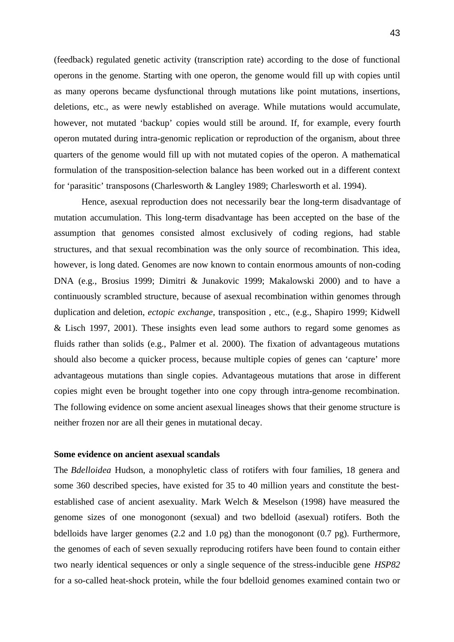(feedback) regulated genetic activity (transcription rate) according to the dose of functional operons in the genome. Starting with one operon, the genome would fill up with copies until as many operons became dysfunctional through mutations like point mutations, insertions, deletions, etc., as were newly established on average. While mutations would accumulate, however, not mutated 'backup' copies would still be around. If, for example, every fourth operon mutated during intra-genomic replication or reproduction of the organism, about three quarters of the genome would fill up with not mutated copies of the operon. A mathematical formulation of the transposition-selection balance has been worked out in a different context for 'parasitic' transposons (Charlesworth & Langley 1989; Charlesworth et al. 1994).

Hence, asexual reproduction does not necessarily bear the long-term disadvantage of mutation accumulation. This long-term disadvantage has been accepted on the base of the assumption that genomes consisted almost exclusively of coding regions, had stable structures, and that sexual recombination was the only source of recombination. This idea, however, is long dated. Genomes are now known to contain enormous amounts of non-coding DNA (e.g., Brosius 1999; Dimitri & Junakovic 1999; Makalowski 2000) and to have a continuously scrambled structure, because of asexual recombination within genomes through duplication and deletion, *ectopic exchange*, transposition , etc., (e.g., Shapiro 1999; Kidwell & Lisch 1997, 2001). These insights even lead some authors to regard some genomes as fluids rather than solids (e.g., Palmer et al. 2000). The fixation of advantageous mutations should also become a quicker process, because multiple copies of genes can 'capture' more advantageous mutations than single copies. Advantageous mutations that arose in different copies might even be brought together into one copy through intra-genome recombination. The following evidence on some ancient asexual lineages shows that their genome structure is neither frozen nor are all their genes in mutational decay.

#### **Some evidence on ancient asexual scandals**

The *Bdelloidea* Hudson, a monophyletic class of rotifers with four families, 18 genera and some 360 described species, have existed for 35 to 40 million years and constitute the bestestablished case of ancient asexuality. Mark Welch & Meselson (1998) have measured the genome sizes of one monogonont (sexual) and two bdelloid (asexual) rotifers. Both the bdelloids have larger genomes (2.2 and 1.0 pg) than the monogonont (0.7 pg). Furthermore, the genomes of each of seven sexually reproducing rotifers have been found to contain either two nearly identical sequences or only a single sequence of the stress-inducible gene *HSP82* for a so-called heat-shock protein, while the four bdelloid genomes examined contain two or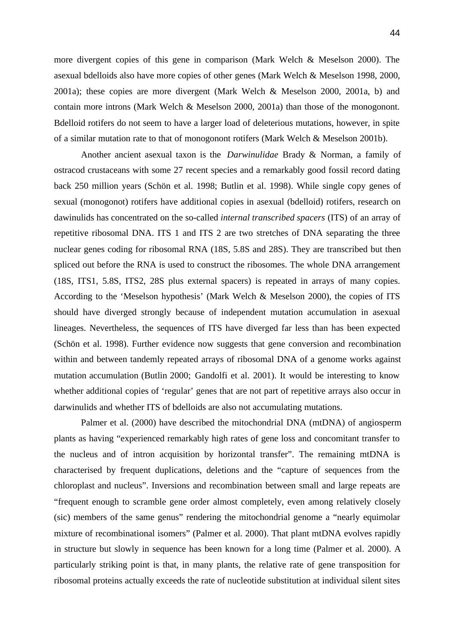more divergent copies of this gene in comparison (Mark Welch & Meselson 2000). The asexual bdelloids also have more copies of other genes (Mark Welch & Meselson 1998, 2000, 2001a); these copies are more divergent (Mark Welch & Meselson 2000, 2001a, b) and contain more introns (Mark Welch & Meselson 2000, 2001a) than those of the monogonont. Bdelloid rotifers do not seem to have a larger load of deleterious mutations, however, in spite of a similar mutation rate to that of monogonont rotifers (Mark Welch & Meselson 2001b).

Another ancient asexual taxon is the *Darwinulidae* Brady & Norman, a family of ostracod crustaceans with some 27 recent species and a remarkably good fossil record dating back 250 million years (Schön et al. 1998; Butlin et al. 1998). While single copy genes of sexual (monogonot) rotifers have additional copies in asexual (bdelloid) rotifers, research on dawinulids has concentrated on the so-called *internal transcribed spacers* (ITS) of an array of repetitive ribosomal DNA. ITS 1 and ITS 2 are two stretches of DNA separating the three nuclear genes coding for ribosomal RNA (18S, 5.8S and 28S). They are transcribed but then spliced out before the RNA is used to construct the ribosomes. The whole DNA arrangement (18S, ITS1, 5.8S, ITS2, 28S plus external spacers) is repeated in arrays of many copies. According to the 'Meselson hypothesis' (Mark Welch & Meselson 2000), the copies of ITS should have diverged strongly because of independent mutation accumulation in asexual lineages. Nevertheless, the sequences of ITS have diverged far less than has been expected (Schön et al. 1998). Further evidence now suggests that gene conversion and recombination within and between tandemly repeated arrays of ribosomal DNA of a genome works against mutation accumulation (Butlin 2000; Gandolfi et al. 2001). It would be interesting to know whether additional copies of 'regular' genes that are not part of repetitive arrays also occur in darwinulids and whether ITS of bdelloids are also not accumulating mutations.

Palmer et al. (2000) have described the mitochondrial DNA (mtDNA) of angiosperm plants as having "experienced remarkably high rates of gene loss and concomitant transfer to the nucleus and of intron acquisition by horizontal transfer". The remaining mtDNA is characterised by frequent duplications, deletions and the "capture of sequences from the chloroplast and nucleus". Inversions and recombination between small and large repeats are "frequent enough to scramble gene order almost completely, even among relatively closely (sic) members of the same genus" rendering the mitochondrial genome a "nearly equimolar mixture of recombinational isomers" (Palmer et al. 2000). That plant mtDNA evolves rapidly in structure but slowly in sequence has been known for a long time (Palmer et al. 2000). A particularly striking point is that, in many plants, the relative rate of gene transposition for ribosomal proteins actually exceeds the rate of nucleotide substitution at individual silent sites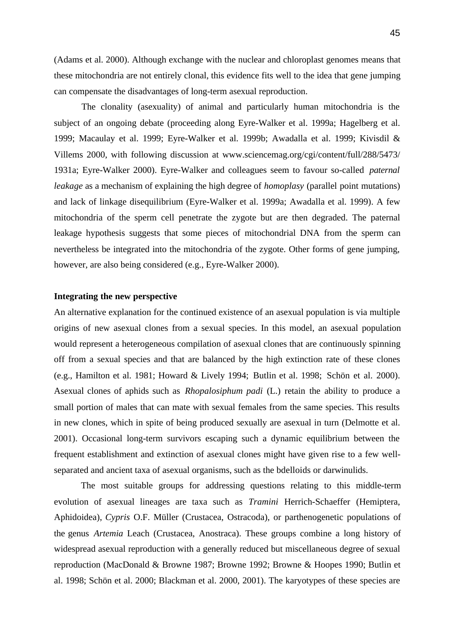(Adams et al. 2000). Although exchange with the nuclear and chloroplast genomes means that these mitochondria are not entirely clonal, this evidence fits well to the idea that gene jumping can compensate the disadvantages of long-term asexual reproduction.

The clonality (asexuality) of animal and particularly human mitochondria is the subject of an ongoing debate (proceeding along Eyre-Walker et al. 1999a; Hagelberg et al. 1999; Macaulay et al. 1999; Eyre-Walker et al. 1999b; Awadalla et al. 1999; Kivisdil & Villems 2000, with following discussion at www.sciencemag.org/cgi/content/full/288/5473/ 1931a; Eyre-Walker 2000). Eyre-Walker and colleagues seem to favour so-called *paternal leakage* as a mechanism of explaining the high degree of *homoplasy* (parallel point mutations) and lack of linkage disequilibrium (Eyre-Walker et al. 1999a; Awadalla et al. 1999). A few mitochondria of the sperm cell penetrate the zygote but are then degraded. The paternal leakage hypothesis suggests that some pieces of mitochondrial DNA from the sperm can nevertheless be integrated into the mitochondria of the zygote. Other forms of gene jumping, however, are also being considered (e.g., Eyre-Walker 2000).

#### **Integrating the new perspective**

An alternative explanation for the continued existence of an asexual population is via multiple origins of new asexual clones from a sexual species. In this model, an asexual population would represent a heterogeneous compilation of asexual clones that are continuously spinning off from a sexual species and that are balanced by the high extinction rate of these clones (e.g., Hamilton et al. 1981; Howard & Lively 1994; Butlin et al. 1998; Schön et al. 2000). Asexual clones of aphids such as *Rhopalosiphum padi* (L.) retain the ability to produce a small portion of males that can mate with sexual females from the same species. This results in new clones, which in spite of being produced sexually are asexual in turn (Delmotte et al. 2001). Occasional long-term survivors escaping such a dynamic equilibrium between the frequent establishment and extinction of asexual clones might have given rise to a few wellseparated and ancient taxa of asexual organisms, such as the bdelloids or darwinulids.

The most suitable groups for addressing questions relating to this middle-term evolution of asexual lineages are taxa such as *Tramini* Herrich-Schaeffer (Hemiptera, Aphidoidea), *Cypris* O.F. Müller (Crustacea, Ostracoda), or parthenogenetic populations of the genus *Artemia* Leach (Crustacea, Anostraca). These groups combine a long history of widespread asexual reproduction with a generally reduced but miscellaneous degree of sexual reproduction (MacDonald & Browne 1987; Browne 1992; Browne & Hoopes 1990; Butlin et al. 1998; Schön et al. 2000; Blackman et al. 2000, 2001). The karyotypes of these species are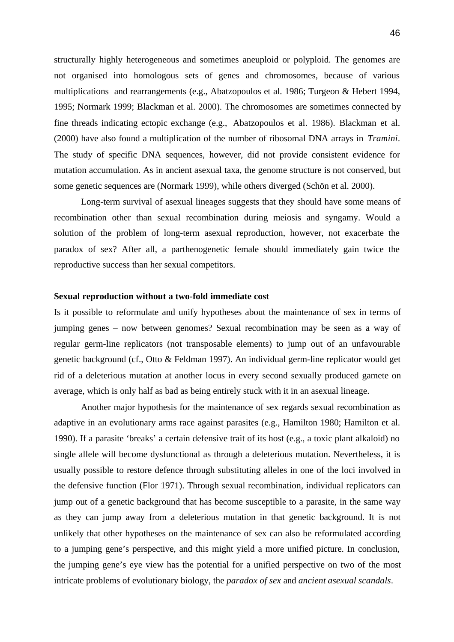structurally highly heterogeneous and sometimes aneuploid or polyploid. The genomes are not organised into homologous sets of genes and chromosomes, because of various multiplications and rearrangements (e.g., Abatzopoulos et al. 1986; Turgeon & Hebert 1994, 1995; Normark 1999; Blackman et al. 2000). The chromosomes are sometimes connected by fine threads indicating ectopic exchange (e.g., Abatzopoulos et al. 1986). Blackman et al. (2000) have also found a multiplication of the number of ribosomal DNA arrays in *Tramini*. The study of specific DNA sequences, however, did not provide consistent evidence for mutation accumulation. As in ancient asexual taxa, the genome structure is not conserved, but some genetic sequences are (Normark 1999), while others diverged (Schön et al. 2000).

Long-term survival of asexual lineages suggests that they should have some means of recombination other than sexual recombination during meiosis and syngamy. Would a solution of the problem of long-term asexual reproduction, however, not exacerbate the paradox of sex? After all, a parthenogenetic female should immediately gain twice the reproductive success than her sexual competitors.

#### **Sexual reproduction without a two-fold immediate cost**

Is it possible to reformulate and unify hypotheses about the maintenance of sex in terms of jumping genes – now between genomes? Sexual recombination may be seen as a way of regular germ-line replicators (not transposable elements) to jump out of an unfavourable genetic background (cf., Otto & Feldman 1997). An individual germ-line replicator would get rid of a deleterious mutation at another locus in every second sexually produced gamete on average, which is only half as bad as being entirely stuck with it in an asexual lineage.

Another major hypothesis for the maintenance of sex regards sexual recombination as adaptive in an evolutionary arms race against parasites (e.g., Hamilton 1980; Hamilton et al. 1990). If a parasite 'breaks' a certain defensive trait of its host (e.g., a toxic plant alkaloid) no single allele will become dysfunctional as through a deleterious mutation. Nevertheless, it is usually possible to restore defence through substituting alleles in one of the loci involved in the defensive function (Flor 1971). Through sexual recombination, individual replicators can jump out of a genetic background that has become susceptible to a parasite, in the same way as they can jump away from a deleterious mutation in that genetic background. It is not unlikely that other hypotheses on the maintenance of sex can also be reformulated according to a jumping gene's perspective, and this might yield a more unified picture. In conclusion, the jumping gene's eye view has the potential for a unified perspective on two of the most intricate problems of evolutionary biology, the *paradox of sex* and *ancient asexual scandals*.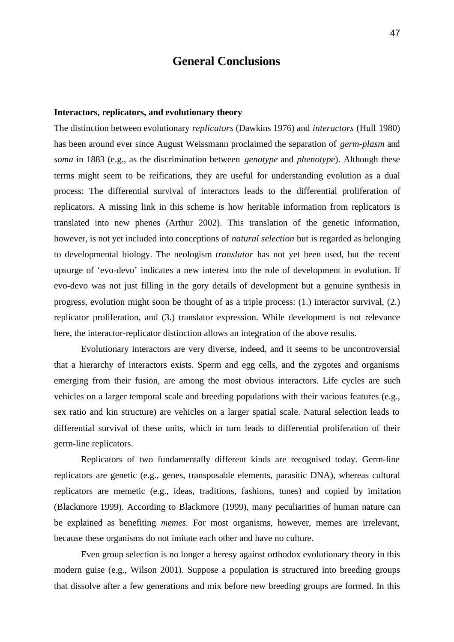# **General Conclusions**

#### **Interactors, replicators, and evolutionary theory**

The distinction between evolutionary *replicators* (Dawkins 1976) and *interactors* (Hull 1980) has been around ever since August Weissmann proclaimed the separation of *germ-plasm* and *soma* in 1883 (e.g., as the discrimination between *genotype* and *phenotype*). Although these terms might seem to be reifications, they are useful for understanding evolution as a dual process: The differential survival of interactors leads to the differential proliferation of replicators. A missing link in this scheme is how heritable information from replicators is translated into new phenes (Arthur 2002). This translation of the genetic information, however, is not yet included into conceptions of *natural selection* but is regarded as belonging to developmental biology. The neologism *translator* has not yet been used, but the recent upsurge of 'evo-devo' indicates a new interest into the role of development in evolution. If evo-devo was not just filling in the gory details of development but a genuine synthesis in progress, evolution might soon be thought of as a triple process: (1.) interactor survival, (2.) replicator proliferation, and (3.) translator expression. While development is not relevance here, the interactor-replicator distinction allows an integration of the above results.

Evolutionary interactors are very diverse, indeed, and it seems to be uncontroversial that a hierarchy of interactors exists. Sperm and egg cells, and the zygotes and organisms emerging from their fusion, are among the most obvious interactors. Life cycles are such vehicles on a larger temporal scale and breeding populations with their various features (e.g., sex ratio and kin structure) are vehicles on a larger spatial scale. Natural selection leads to differential survival of these units, which in turn leads to differential proliferation of their germ-line replicators.

Replicators of two fundamentally different kinds are recognised today. Germ-line replicators are genetic (e.g., genes, transposable elements, parasitic DNA), whereas cultural replicators are memetic (e.g., ideas, traditions, fashions, tunes) and copied by imitation (Blackmore 1999). According to Blackmore (1999), many peculiarities of human nature can be explained as benefiting *memes*. For most organisms, however, memes are irrelevant, because these organisms do not imitate each other and have no culture.

Even group selection is no longer a heresy against orthodox evolutionary theory in this modern guise (e.g., Wilson 2001). Suppose a population is structured into breeding groups that dissolve after a few generations and mix before new breeding groups are formed. In this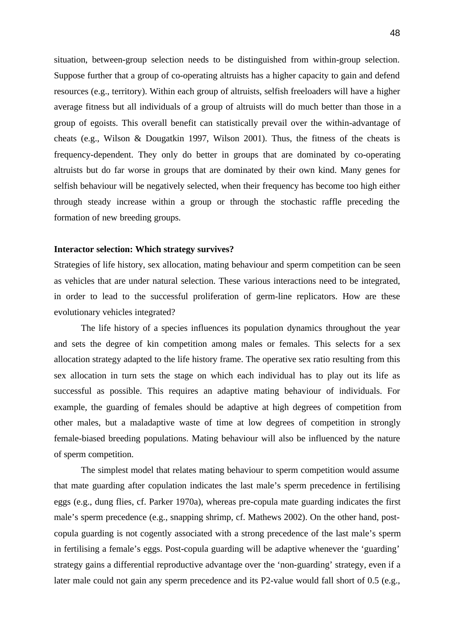situation, between-group selection needs to be distinguished from within-group selection. Suppose further that a group of co-operating altruists has a higher capacity to gain and defend resources (e.g., territory). Within each group of altruists, selfish freeloaders will have a higher average fitness but all individuals of a group of altruists will do much better than those in a group of egoists. This overall benefit can statistically prevail over the within-advantage of cheats (e.g., Wilson & Dougatkin 1997, Wilson 2001). Thus, the fitness of the cheats is frequency-dependent. They only do better in groups that are dominated by co-operating altruists but do far worse in groups that are dominated by their own kind. Many genes for selfish behaviour will be negatively selected, when their frequency has become too high either through steady increase within a group or through the stochastic raffle preceding the formation of new breeding groups.

#### **Interactor selection: Which strategy survives?**

Strategies of life history, sex allocation, mating behaviour and sperm competition can be seen as vehicles that are under natural selection. These various interactions need to be integrated, in order to lead to the successful proliferation of germ-line replicators. How are these evolutionary vehicles integrated?

The life history of a species influences its population dynamics throughout the year and sets the degree of kin competition among males or females. This selects for a sex allocation strategy adapted to the life history frame. The operative sex ratio resulting from this sex allocation in turn sets the stage on which each individual has to play out its life as successful as possible. This requires an adaptive mating behaviour of individuals. For example, the guarding of females should be adaptive at high degrees of competition from other males, but a maladaptive waste of time at low degrees of competition in strongly female-biased breeding populations. Mating behaviour will also be influenced by the nature of sperm competition.

The simplest model that relates mating behaviour to sperm competition would assume that mate guarding after copulation indicates the last male's sperm precedence in fertilising eggs (e.g., dung flies, cf. Parker 1970a), whereas pre-copula mate guarding indicates the first male's sperm precedence (e.g., snapping shrimp, cf. Mathews 2002). On the other hand, postcopula guarding is not cogently associated with a strong precedence of the last male's sperm in fertilising a female's eggs. Post-copula guarding will be adaptive whenever the 'guarding' strategy gains a differential reproductive advantage over the 'non-guarding' strategy, even if a later male could not gain any sperm precedence and its P2-value would fall short of 0.5 (e.g.,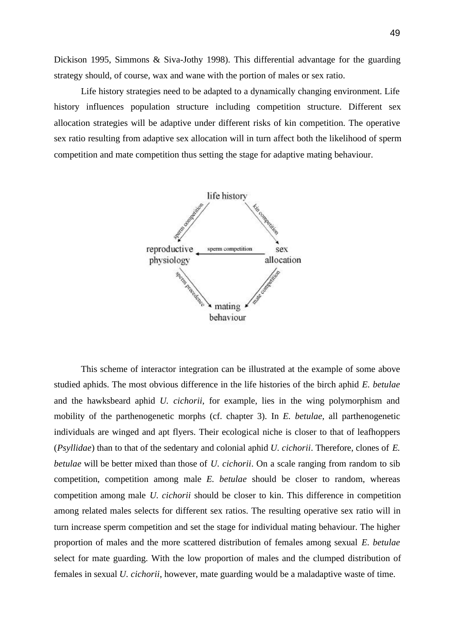Dickison 1995, Simmons & Siva-Jothy 1998). This differential advantage for the guarding strategy should, of course, wax and wane with the portion of males or sex ratio.

Life history strategies need to be adapted to a dynamically changing environment. Life history influences population structure including competition structure. Different sex allocation strategies will be adaptive under different risks of kin competition. The operative sex ratio resulting from adaptive sex allocation will in turn affect both the likelihood of sperm competition and mate competition thus setting the stage for adaptive mating behaviour.



This scheme of interactor integration can be illustrated at the example of some above studied aphids. The most obvious difference in the life histories of the birch aphid *E. betulae* and the hawksbeard aphid *U. cichorii*, for example, lies in the wing polymorphism and mobility of the parthenogenetic morphs (cf. chapter 3). In *E. betulae*, all parthenogenetic individuals are winged and apt flyers. Their ecological niche is closer to that of leafhoppers (*Psyllidae*) than to that of the sedentary and colonial aphid *U. cichorii*. Therefore, clones of *E. betulae* will be better mixed than those of *U. cichorii*. On a scale ranging from random to sib competition, competition among male *E. betulae* should be closer to random, whereas competition among male *U. cichorii* should be closer to kin. This difference in competition among related males selects for different sex ratios. The resulting operative sex ratio will in turn increase sperm competition and set the stage for individual mating behaviour. The higher proportion of males and the more scattered distribution of females among sexual *E. betulae* select for mate guarding. With the low proportion of males and the clumped distribution of females in sexual *U. cichorii*, however, mate guarding would be a maladaptive waste of time.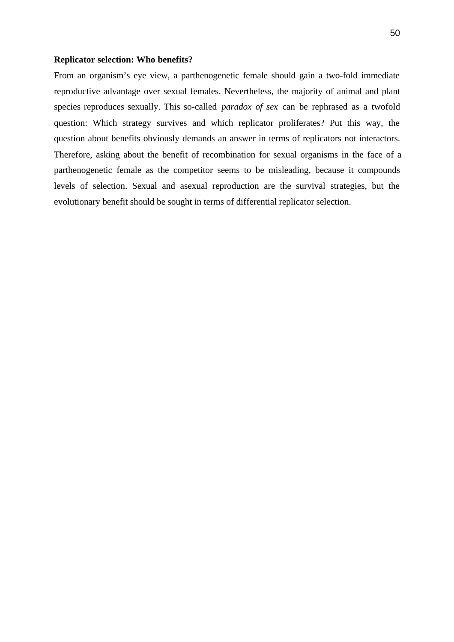#### **Replicator selection: Who benefits?**

From an organism's eye view, a parthenogenetic female should gain a two-fold immediate reproductive advantage over sexual females. Nevertheless, the majority of animal and plant species reproduces sexually. This so-called *paradox of sex* can be rephrased as a twofold question: Which strategy survives and which replicator proliferates? Put this way, the question about benefits obviously demands an answer in terms of replicators not interactors. Therefore, asking about the benefit of recombination for sexual organisms in the face of a parthenogenetic female as the competitor seems to be misleading, because it compounds levels of selection. Sexual and asexual reproduction are the survival strategies, but the evolutionary benefit should be sought in terms of differential replicator selection.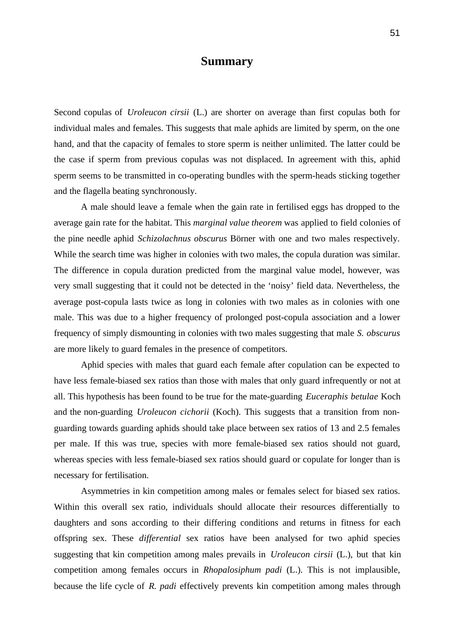## **Summary**

Second copulas of *Uroleucon cirsii* (L.) are shorter on average than first copulas both for individual males and females. This suggests that male aphids are limited by sperm, on the one hand, and that the capacity of females to store sperm is neither unlimited. The latter could be the case if sperm from previous copulas was not displaced. In agreement with this, aphid sperm seems to be transmitted in co-operating bundles with the sperm-heads sticking together and the flagella beating synchronously.

A male should leave a female when the gain rate in fertilised eggs has dropped to the average gain rate for the habitat. This *marginal value theorem* was applied to field colonies of the pine needle aphid *Schizolachnus obscurus* Börner with one and two males respectively. While the search time was higher in colonies with two males, the copula duration was similar. The difference in copula duration predicted from the marginal value model, however, was very small suggesting that it could not be detected in the 'noisy' field data. Nevertheless, the average post-copula lasts twice as long in colonies with two males as in colonies with one male. This was due to a higher frequency of prolonged post-copula association and a lower frequency of simply dismounting in colonies with two males suggesting that male *S. obscurus* are more likely to guard females in the presence of competitors.

Aphid species with males that guard each female after copulation can be expected to have less female-biased sex ratios than those with males that only guard infrequently or not at all. This hypothesis has been found to be true for the mate-guarding *Euceraphis betulae* Koch and the non-guarding *Uroleucon cichorii* (Koch). This suggests that a transition from nonguarding towards guarding aphids should take place between sex ratios of 13 and 2.5 females per male. If this was true, species with more female-biased sex ratios should not guard, whereas species with less female-biased sex ratios should guard or copulate for longer than is necessary for fertilisation.

Asymmetries in kin competition among males or females select for biased sex ratios. Within this overall sex ratio, individuals should allocate their resources differentially to daughters and sons according to their differing conditions and returns in fitness for each offspring sex. These *differential* sex ratios have been analysed for two aphid species suggesting that kin competition among males prevails in *Uroleucon cirsii* (L.), but that kin competition among females occurs in *Rhopalosiphum padi* (L.). This is not implausible, because the life cycle of *R. padi* effectively prevents kin competition among males through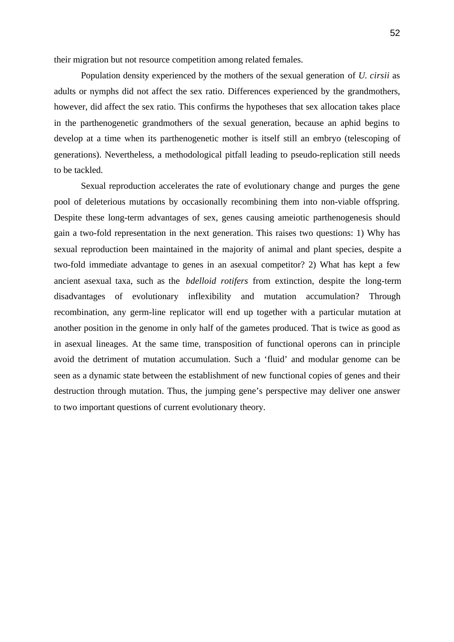their migration but not resource competition among related females.

Population density experienced by the mothers of the sexual generation of *U. cirsii* as adults or nymphs did not affect the sex ratio. Differences experienced by the grandmothers, however, did affect the sex ratio. This confirms the hypotheses that sex allocation takes place in the parthenogenetic grandmothers of the sexual generation, because an aphid begins to develop at a time when its parthenogenetic mother is itself still an embryo (telescoping of generations). Nevertheless, a methodological pitfall leading to pseudo-replication still needs to be tackled.

Sexual reproduction accelerates the rate of evolutionary change and purges the gene pool of deleterious mutations by occasionally recombining them into non-viable offspring. Despite these long-term advantages of sex, genes causing ameiotic parthenogenesis should gain a two-fold representation in the next generation. This raises two questions: 1) Why has sexual reproduction been maintained in the majority of animal and plant species, despite a two-fold immediate advantage to genes in an asexual competitor? 2) What has kept a few ancient asexual taxa, such as the *bdelloid rotifers* from extinction, despite the long-term disadvantages of evolutionary inflexibility and mutation accumulation? Through recombination, any germ-line replicator will end up together with a particular mutation at another position in the genome in only half of the gametes produced. That is twice as good as in asexual lineages. At the same time, transposition of functional operons can in principle avoid the detriment of mutation accumulation. Such a 'fluid' and modular genome can be seen as a dynamic state between the establishment of new functional copies of genes and their destruction through mutation. Thus, the jumping gene's perspective may deliver one answer to two important questions of current evolutionary theory.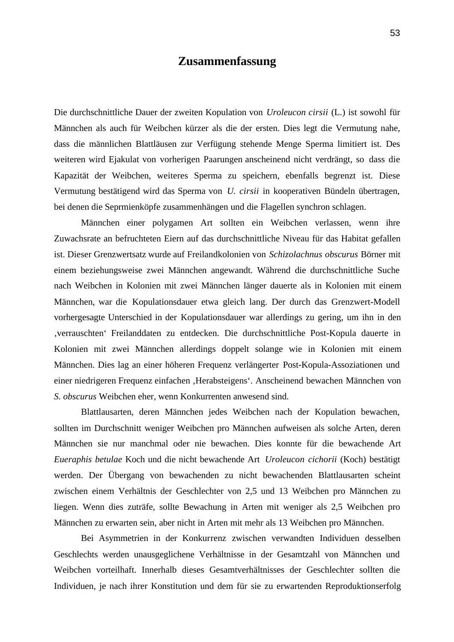# **Zusammenfassung**

Die durchschnittliche Dauer der zweiten Kopulation von *Uroleucon cirsii* (L.) ist sowohl für Männchen als auch für Weibchen kürzer als die der ersten. Dies legt die Vermutung nahe, dass die männlichen Blattläusen zur Verfügung stehende Menge Sperma limitiert ist. Des weiteren wird Ejakulat von vorherigen Paarungen anscheinend nicht verdrängt, so dass die Kapazität der Weibchen, weiteres Sperma zu speichern, ebenfalls begrenzt ist. Diese Vermutung bestätigend wird das Sperma von *U. cirsii* in kooperativen Bündeln übertragen, bei denen die Seprmienköpfe zusammenhängen und die Flagellen synchron schlagen.

Männchen einer polygamen Art sollten ein Weibchen verlassen, wenn ihre Zuwachsrate an befruchteten Eiern auf das durchschnittliche Niveau für das Habitat gefallen ist. Dieser Grenzwertsatz wurde auf Freilandkolonien von *Schizolachnus obscurus* Börner mit einem beziehungsweise zwei Männchen angewandt. Während die durchschnittliche Suche nach Weibchen in Kolonien mit zwei Männchen länger dauerte als in Kolonien mit einem Männchen, war die Kopulationsdauer etwa gleich lang. Der durch das Grenzwert-Modell vorhergesagte Unterschied in der Kopulationsdauer war allerdings zu gering, um ihn in den 'verrauschten' Freilanddaten zu entdecken. Die durchschnittliche Post-Kopula dauerte in Kolonien mit zwei Männchen allerdings doppelt solange wie in Kolonien mit einem Männchen. Dies lag an einer höheren Frequenz verlängerter Post-Kopula-Assoziationen und einer niedrigeren Frequenz einfachen 'Herabsteigens'. Anscheinend bewachen Männchen von *S. obscurus* Weibchen eher, wenn Konkurrenten anwesend sind.

Blattlausarten, deren Männchen jedes Weibchen nach der Kopulation bewachen, sollten im Durchschnitt weniger Weibchen pro Männchen aufweisen als solche Arten, deren Männchen sie nur manchmal oder nie bewachen. Dies konnte für die bewachende Art *Eueraphis betulae* Koch und die nicht bewachende Art *Uroleucon cichorii* (Koch) bestätigt werden. Der Übergang von bewachenden zu nicht bewachenden Blattlausarten scheint zwischen einem Verhältnis der Geschlechter von 2,5 und 13 Weibchen pro Männchen zu liegen. Wenn dies zuträfe, sollte Bewachung in Arten mit weniger als 2,5 Weibchen pro Männchen zu erwarten sein, aber nicht in Arten mit mehr als 13 Weibchen pro Männchen.

Bei Asymmetrien in der Konkurrenz zwischen verwandten Individuen desselben Geschlechts werden unausgeglichene Verhältnisse in der Gesamtzahl von Männchen und Weibchen vorteilhaft. Innerhalb dieses Gesamtverhältnisses der Geschlechter sollten die Individuen, je nach ihrer Konstitution und dem für sie zu erwartenden Reproduktionserfolg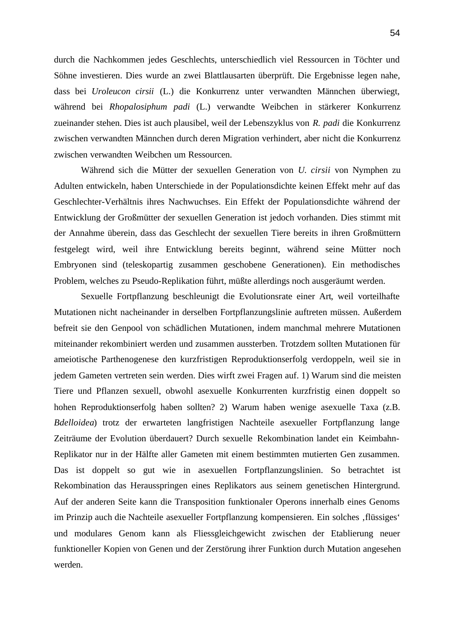durch die Nachkommen jedes Geschlechts, unterschiedlich viel Ressourcen in Töchter und Söhne investieren. Dies wurde an zwei Blattlausarten überprüft. Die Ergebnisse legen nahe, dass bei *Uroleucon cirsii* (L.) die Konkurrenz unter verwandten Männchen überwiegt, während bei *Rhopalosiphum padi* (L.) verwandte Weibchen in stärkerer Konkurrenz zueinander stehen. Dies ist auch plausibel, weil der Lebenszyklus von *R. padi* die Konkurrenz zwischen verwandten Männchen durch deren Migration verhindert, aber nicht die Konkurrenz zwischen verwandten Weibchen um Ressourcen.

Während sich die Mütter der sexuellen Generation von *U. cirsii* von Nymphen zu Adulten entwickeln, haben Unterschiede in der Populationsdichte keinen Effekt mehr auf das Geschlechter-Verhältnis ihres Nachwuchses. Ein Effekt der Populationsdichte während der Entwicklung der Großmütter der sexuellen Generation ist jedoch vorhanden. Dies stimmt mit der Annahme überein, dass das Geschlecht der sexuellen Tiere bereits in ihren Großmüttern festgelegt wird, weil ihre Entwicklung bereits beginnt, während seine Mütter noch Embryonen sind (teleskopartig zusammen geschobene Generationen). Ein methodisches Problem, welches zu Pseudo-Replikation führt, müßte allerdings noch ausgeräumt werden.

Sexuelle Fortpflanzung beschleunigt die Evolutionsrate einer Art, weil vorteilhafte Mutationen nicht nacheinander in derselben Fortpflanzungslinie auftreten müssen. Außerdem befreit sie den Genpool von schädlichen Mutationen, indem manchmal mehrere Mutationen miteinander rekombiniert werden und zusammen aussterben. Trotzdem sollten Mutationen für ameiotische Parthenogenese den kurzfristigen Reproduktionserfolg verdoppeln, weil sie in jedem Gameten vertreten sein werden. Dies wirft zwei Fragen auf. 1) Warum sind die meisten Tiere und Pflanzen sexuell, obwohl asexuelle Konkurrenten kurzfristig einen doppelt so hohen Reproduktionserfolg haben sollten? 2) Warum haben wenige asexuelle Taxa (z.B. *Bdelloidea*) trotz der erwarteten langfristigen Nachteile asexueller Fortpflanzung lange Zeiträume der Evolution überdauert? Durch sexuelle Rekombination landet ein Keimbahn-Replikator nur in der Hälfte aller Gameten mit einem bestimmten mutierten Gen zusammen. Das ist doppelt so gut wie in asexuellen Fortpflanzungslinien. So betrachtet ist Rekombination das Herausspringen eines Replikators aus seinem genetischen Hintergrund. Auf der anderen Seite kann die Transposition funktionaler Operons innerhalb eines Genoms im Prinzip auch die Nachteile asexueller Fortpflanzung kompensieren. Ein solches , flüssiges' und modulares Genom kann als Fliessgleichgewicht zwischen der Etablierung neuer funktioneller Kopien von Genen und der Zerstörung ihrer Funktion durch Mutation angesehen werden.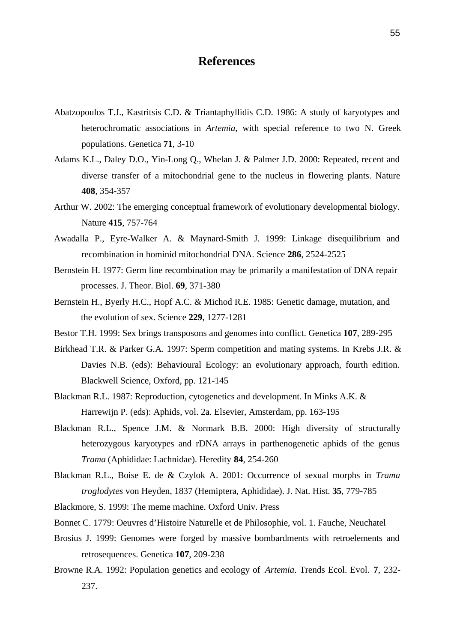# **References**

- Abatzopoulos T.J., Kastritsis C.D. & Triantaphyllidis C.D. 1986: A study of karyotypes and heterochromatic associations in *Artemia*, with special reference to two N. Greek populations. Genetica **71**, 3-10
- Adams K.L., Daley D.O., Yin-Long Q., Whelan J. & Palmer J.D. 2000: Repeated, recent and diverse transfer of a mitochondrial gene to the nucleus in flowering plants. Nature **408**, 354-357
- Arthur W. 2002: The emerging conceptual framework of evolutionary developmental biology. Nature **415**, 757-764
- Awadalla P., Eyre-Walker A. & Maynard-Smith J. 1999: Linkage disequilibrium and recombination in hominid mitochondrial DNA. Science **286**, 2524-2525
- Bernstein H. 1977: Germ line recombination may be primarily a manifestation of DNA repair processes. J. Theor. Biol. **69**, 371-380
- Bernstein H., Byerly H.C., Hopf A.C. & Michod R.E. 1985: Genetic damage, mutation, and the evolution of sex. Science **229**, 1277-1281
- Bestor T.H. 1999: Sex brings transposons and genomes into conflict. Genetica **107**, 289-295
- Birkhead T.R. & Parker G.A. 1997: Sperm competition and mating systems. In Krebs J.R. & Davies N.B. (eds): Behavioural Ecology: an evolutionary approach, fourth edition. Blackwell Science, Oxford, pp. 121-145
- Blackman R.L. 1987: Reproduction, cytogenetics and development. In Minks A.K. & Harrewijn P. (eds): Aphids, vol. 2a. Elsevier, Amsterdam, pp. 163-195
- Blackman R.L., Spence J.M. & Normark B.B. 2000: High diversity of structurally heterozygous karyotypes and rDNA arrays in parthenogenetic aphids of the genus *Trama* (Aphididae: Lachnidae). Heredity **84**, 254-260
- Blackman R.L., Boise E. de & Czylok A. 2001: Occurrence of sexual morphs in *Trama troglodytes* von Heyden, 1837 (Hemiptera, Aphididae). J. Nat. Hist. **35**, 779-785
- Blackmore, S. 1999: The meme machine. Oxford Univ. Press
- Bonnet C. 1779: Oeuvres d'Histoire Naturelle et de Philosophie, vol. 1. Fauche, Neuchatel
- Brosius J. 1999: Genomes were forged by massive bombardments with retroelements and retrosequences. Genetica **107**, 209-238
- Browne R.A. 1992: Population genetics and ecology of *Artemia*. Trends Ecol. Evol. **7**, 232- 237.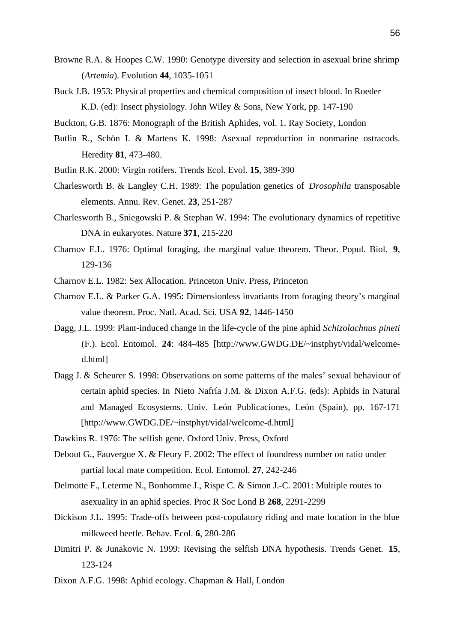- Browne R.A. & Hoopes C.W. 1990: Genotype diversity and selection in asexual brine shrimp (*Artemia*). Evolution **44**, 1035-1051
- Buck J.B. 1953: Physical properties and chemical composition of insect blood. In Roeder K.D. (ed): Insect physiology. John Wiley & Sons, New York, pp. 147-190
- Buckton, G.B. 1876: Monograph of the British Aphides, vol. 1. Ray Society, London
- Butlin R., Schön I. & Martens K. 1998: Asexual reproduction in nonmarine ostracods. Heredity **81**, 473-480.
- Butlin R.K. 2000: Virgin rotifers. Trends Ecol. Evol. **15**, 389-390
- Charlesworth B. & Langley C.H. 1989: The population genetics of *Drosophila* transposable elements. Annu. Rev. Genet. **23**, 251-287
- Charlesworth B., Sniegowski P. & Stephan W. 1994: The evolutionary dynamics of repetitive DNA in eukaryotes. Nature **371**, 215-220
- Charnov E.L. 1976: Optimal foraging, the marginal value theorem. Theor. Popul. Biol. **9**, 129-136
- Charnov E.L. 1982: Sex Allocation. Princeton Univ. Press, Princeton
- Charnov E.L. & Parker G.A. 1995: Dimensionless invariants from foraging theory's marginal value theorem. Proc. Natl. Acad. Sci. USA **92**, 1446-1450
- Dagg, J.L. 1999: Plant-induced change in the life-cycle of the pine aphid *Schizolachnus pineti* (F.). Ecol. Entomol. **24**: 484-485 [http://www.GWDG.DE/~instphyt/vidal/welcomed.html]
- Dagg J. & Scheurer S. 1998: Observations on some patterns of the males' sexual behaviour of certain aphid species. In Nieto Nafría J.M. & Dixon A.F.G. (eds): Aphids in Natural and Managed Ecosystems. Univ. León Publicaciones, León (Spain), pp. 167-171 [http://www.GWDG.DE/~instphyt/vidal/welcome-d.html]
- Dawkins R. 1976: The selfish gene. Oxford Univ. Press, Oxford
- Debout G., Fauvergue X. & Fleury F. 2002: The effect of foundress number on ratio under partial local mate competition. Ecol. Entomol. **27**, 242-246
- Delmotte F., Leterme N., Bonhomme J., Rispe C. & Simon J.-C. 2001: Multiple routes to asexuality in an aphid species. Proc R Soc Lond B **268**, 2291-2299
- Dickison J.L. 1995: Trade-offs between post-copulatory riding and mate location in the blue milkweed beetle. Behav. Ecol. **6**, 280-286
- Dimitri P. & Junakovic N. 1999: Revising the selfish DNA hypothesis. Trends Genet. **15**, 123-124
- Dixon A.F.G. 1998: Aphid ecology. Chapman & Hall, London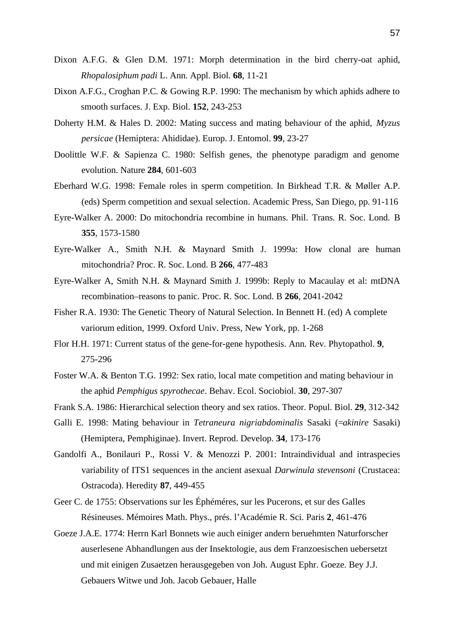- Dixon A.F.G. & Glen D.M. 1971: Morph determination in the bird cherry-oat aphid, *Rhopalosiphum padi* L. Ann. Appl. Biol. **68**, 11-21
- Dixon A.F.G., Croghan P.C. & Gowing R.P. 1990: The mechanism by which aphids adhere to smooth surfaces. J. Exp. Biol. **152**, 243-253
- Doherty H.M. & Hales D. 2002: Mating success and mating behaviour of the aphid, *Myzus persicae* (Hemiptera: Ahididae). Europ. J. Entomol. **99**, 23-27
- Doolittle W.F. & Sapienza C. 1980: Selfish genes, the phenotype paradigm and genome evolution. Nature **284**, 601-603
- Eberhard W.G. 1998: Female roles in sperm competition. In Birkhead T.R. & Møller A.P. (eds) Sperm competition and sexual selection. Academic Press, San Diego, pp. 91-116
- Eyre-Walker A. 2000: Do mitochondria recombine in humans. Phil. Trans. R. Soc. Lond. B **355**, 1573-1580
- Eyre-Walker A., Smith N.H. & Maynard Smith J. 1999a: How clonal are human mitochondria? Proc. R. Soc. Lond. B **266**, 477-483
- Eyre-Walker A, Smith N.H. & Maynard Smith J. 1999b: Reply to Macaulay et al: mtDNA recombination–reasons to panic. Proc. R. Soc. Lond. B **266**, 2041-2042
- Fisher R.A. 1930: The Genetic Theory of Natural Selection. In Bennett H. (ed) A complete variorum edition, 1999. Oxford Univ. Press, New York, pp. 1-268
- Flor H.H. 1971: Current status of the gene-for-gene hypothesis. Ann. Rev. Phytopathol. **9**, 275-296
- Foster W.A. & Benton T.G. 1992: Sex ratio, local mate competition and mating behaviour in the aphid *Pemphigus spyrothecae*. Behav. Ecol. Sociobiol. **30**, 297-307
- Frank S.A. 1986: Hierarchical selection theory and sex ratios. Theor. Popul. Biol. **29**, 312-342
- Galli E. 1998: Mating behaviour in *Tetraneura nigriabdominalis* Sasaki (=*akinire* Sasaki) (Hemiptera, Pemphiginae). Invert. Reprod. Develop. **34**, 173-176
- Gandolfi A., Bonilauri P., Rossi V. & Menozzi P. 2001: Intraindividual and intraspecies variability of ITS1 sequences in the ancient asexual *Darwinula stevensoni* (Crustacea: Ostracoda). Heredity **87**, 449-455
- Geer C. de 1755: Observations sur les Éphéméres, sur les Pucerons, et sur des Galles Résineuses. Mémoires Math. Phys., prés. l'Académie R. Sci. Paris **2**, 461-476
- Goeze J.A.E. 1774: Herrn Karl Bonnets wie auch einiger andern beruehmten Naturforscher auserlesene Abhandlungen aus der Insektologie, aus dem Franzoesischen uebersetzt und mit einigen Zusaetzen herausgegeben von Joh. August Ephr. Goeze. Bey J.J. Gebauers Witwe und Joh. Jacob Gebauer, Halle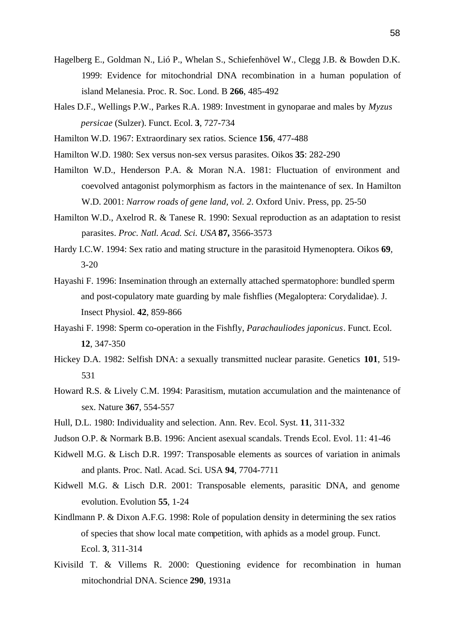- Hagelberg E., Goldman N., Lió P., Whelan S., Schiefenhövel W., Clegg J.B. & Bowden D.K. 1999: Evidence for mitochondrial DNA recombination in a human population of island Melanesia. Proc. R. Soc. Lond. B **266**, 485-492
- Hales D.F., Wellings P.W., Parkes R.A. 1989: Investment in gynoparae and males by *Myzus persicae* (Sulzer). Funct. Ecol. **3**, 727-734
- Hamilton W.D. 1967: Extraordinary sex ratios. Science **156**, 477-488
- Hamilton W.D. 1980: Sex versus non-sex versus parasites. Oikos **35**: 282-290
- Hamilton W.D., Henderson P.A. & Moran N.A. 1981: Fluctuation of environment and coevolved antagonist polymorphism as factors in the maintenance of sex. In Hamilton W.D. 2001: *Narrow roads of gene land, vol. 2*. Oxford Univ. Press, pp. 25-50
- Hamilton W.D., Axelrod R. & Tanese R. 1990: Sexual reproduction as an adaptation to resist parasites. *Proc. Natl. Acad. Sci. USA* **87,** 3566-3573
- Hardy I.C.W. 1994: Sex ratio and mating structure in the parasitoid Hymenoptera. Oikos **69**, 3-20
- Hayashi F. 1996: Insemination through an externally attached spermatophore: bundled sperm and post-copulatory mate guarding by male fishflies (Megaloptera: Corydalidae). J. Insect Physiol. **42**, 859-866
- Hayashi F. 1998: Sperm co-operation in the Fishfly, *Parachauliodes japonicus*. Funct. Ecol. **12**, 347-350
- Hickey D.A. 1982: Selfish DNA: a sexually transmitted nuclear parasite. Genetics **101**, 519- 531
- Howard R.S. & Lively C.M. 1994: Parasitism, mutation accumulation and the maintenance of sex. Nature **367**, 554-557
- Hull, D.L. 1980: Individuality and selection. Ann. Rev. Ecol. Syst. **11**, 311-332
- Judson O.P. & Normark B.B. 1996: Ancient asexual scandals. Trends Ecol. Evol. 11: 41-46
- Kidwell M.G. & Lisch D.R. 1997: Transposable elements as sources of variation in animals and plants. Proc. Natl. Acad. Sci. USA **94**, 7704-7711
- Kidwell M.G. & Lisch D.R. 2001: Transposable elements, parasitic DNA, and genome evolution. Evolution **55**, 1-24
- Kindlmann P. & Dixon A.F.G. 1998: Role of population density in determining the sex ratios of species that show local mate competition, with aphids as a model group. Funct. Ecol. **3**, 311-314
- Kivisild T. & Villems R. 2000: Questioning evidence for recombination in human mitochondrial DNA. Science **290**, 1931a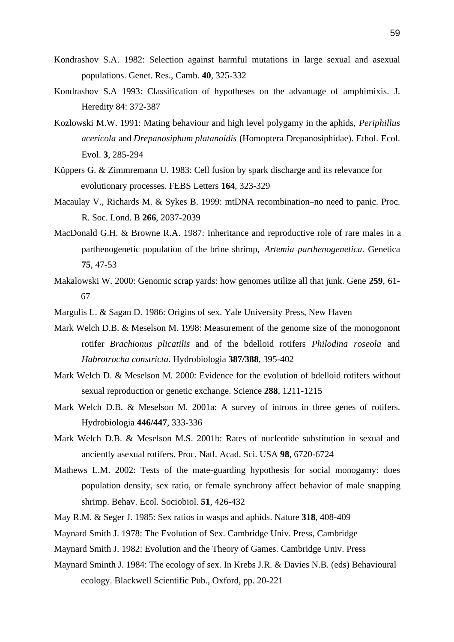- Kondrashov S.A. 1982: Selection against harmful mutations in large sexual and asexual populations. Genet. Res., Camb. **40**, 325-332
- Kondrashov S.A 1993: Classification of hypotheses on the advantage of amphimixis. J. Heredity 84: 372-387
- Kozlowski M.W. 1991: Mating behaviour and high level polygamy in the aphids, *Periphillus acericola* and *Drepanosiphum platanoidis* (Homoptera Drepanosiphidae). Ethol. Ecol. Evol. **3**, 285-294
- Küppers G. & Zimmremann U. 1983: Cell fusion by spark discharge and its relevance for evolutionary processes. FEBS Letters **164**, 323-329
- Macaulay V., Richards M. & Sykes B. 1999: mtDNA recombination–no need to panic. Proc. R. Soc. Lond. B **266**, 2037-2039
- MacDonald G.H. & Browne R.A. 1987: Inheritance and reproductive role of rare males in a parthenogenetic population of the brine shrimp, *Artemia parthenogenetica*. Genetica **75**, 47-53
- Makalowski W. 2000: Genomic scrap yards: how genomes utilize all that junk. Gene **259**, 61- 67
- Margulis L. & Sagan D. 1986: Origins of sex. Yale University Press, New Haven
- Mark Welch D.B. & Meselson M. 1998: Measurement of the genome size of the monogonont rotifer *Brachionus plicatilis* and of the bdelloid rotifers *Philodina roseola* and *Habrotrocha constricta*. Hydrobiologia **387/388**, 395-402
- Mark Welch D. & Meselson M. 2000: Evidence for the evolution of bdelloid rotifers without sexual reproduction or genetic exchange. Science **288**, 1211-1215
- Mark Welch D.B. & Meselson M. 2001a: A survey of introns in three genes of rotifers. Hydrobiologia **446/447**, 333-336
- Mark Welch D.B. & Meselson M.S. 2001b: Rates of nucleotide substitution in sexual and anciently asexual rotifers. Proc. Natl. Acad. Sci. USA **98**, 6720-6724
- Mathews L.M. 2002: Tests of the mate-guarding hypothesis for social monogamy: does population density, sex ratio, or female synchrony affect behavior of male snapping shrimp. Behav. Ecol. Sociobiol. **51**, 426-432
- May R.M. & Seger J. 1985: Sex ratios in wasps and aphids. Nature **318**, 408-409
- Maynard Smith J. 1978: The Evolution of Sex. Cambridge Univ. Press, Cambridge
- Maynard Smith J. 1982: Evolution and the Theory of Games. Cambridge Univ. Press
- Maynard Sminth J. 1984: The ecology of sex. In Krebs J.R. & Davies N.B. (eds) Behavioural ecology. Blackwell Scientific Pub., Oxford, pp. 20-221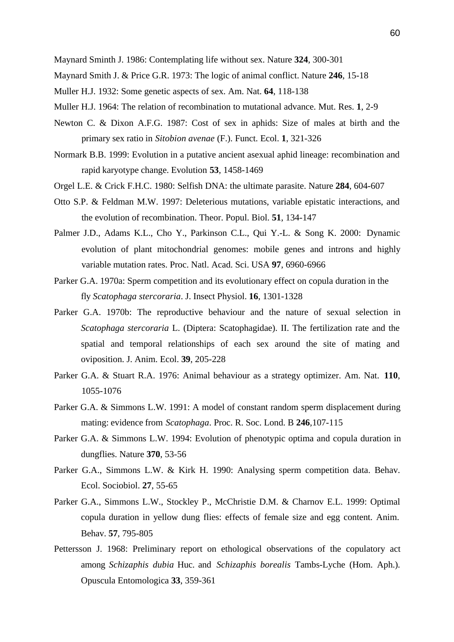Maynard Sminth J. 1986: Contemplating life without sex. Nature **324**, 300-301

- Maynard Smith J. & Price G.R. 1973: The logic of animal conflict. Nature **246**, 15-18
- Muller H.J. 1932: Some genetic aspects of sex. Am. Nat. **64**, 118-138
- Muller H.J. 1964: The relation of recombination to mutational advance. Mut. Res. **1**, 2-9
- Newton C. & Dixon A.F.G. 1987: Cost of sex in aphids: Size of males at birth and the primary sex ratio in *Sitobion avenae* (F.). Funct. Ecol. **1**, 321-326
- Normark B.B. 1999: Evolution in a putative ancient asexual aphid lineage: recombination and rapid karyotype change. Evolution **53**, 1458-1469
- Orgel L.E. & Crick F.H.C. 1980: Selfish DNA: the ultimate parasite. Nature **284**, 604-607
- Otto S.P. & Feldman M.W. 1997: Deleterious mutations, variable epistatic interactions, and the evolution of recombination. Theor. Popul. Biol. **51**, 134-147
- Palmer J.D., Adams K.L., Cho Y., Parkinson C.L., Qui Y.-L. & Song K. 2000: Dynamic evolution of plant mitochondrial genomes: mobile genes and introns and highly variable mutation rates. Proc. Natl. Acad. Sci. USA **97**, 6960-6966
- Parker G.A. 1970a: Sperm competition and its evolutionary effect on copula duration in the fly *Scatophaga stercoraria*. J. Insect Physiol. **16**, 1301-1328
- Parker G.A. 1970b: The reproductive behaviour and the nature of sexual selection in *Scatophaga stercoraria* L. (Diptera: Scatophagidae). II. The fertilization rate and the spatial and temporal relationships of each sex around the site of mating and oviposition. J. Anim. Ecol. **39**, 205-228
- Parker G.A. & Stuart R.A. 1976: Animal behaviour as a strategy optimizer. Am. Nat. **110**, 1055-1076
- Parker G.A. & Simmons L.W. 1991: A model of constant random sperm displacement during mating: evidence from *Scatophaga*. Proc. R. Soc. Lond. B **246**,107-115
- Parker G.A. & Simmons L.W. 1994: Evolution of phenotypic optima and copula duration in dungflies. Nature **370**, 53-56
- Parker G.A., Simmons L.W. & Kirk H. 1990: Analysing sperm competition data. Behav. Ecol. Sociobiol. **27**, 55-65
- Parker G.A., Simmons L.W., Stockley P., McChristie D.M. & Charnov E.L. 1999: Optimal copula duration in yellow dung flies: effects of female size and egg content. Anim. Behav. **57**, 795-805
- Pettersson J. 1968: Preliminary report on ethological observations of the copulatory act among *Schizaphis dubia* Huc. and *Schizaphis borealis* Tambs-Lyche (Hom. Aph.). Opuscula Entomologica **33**, 359-361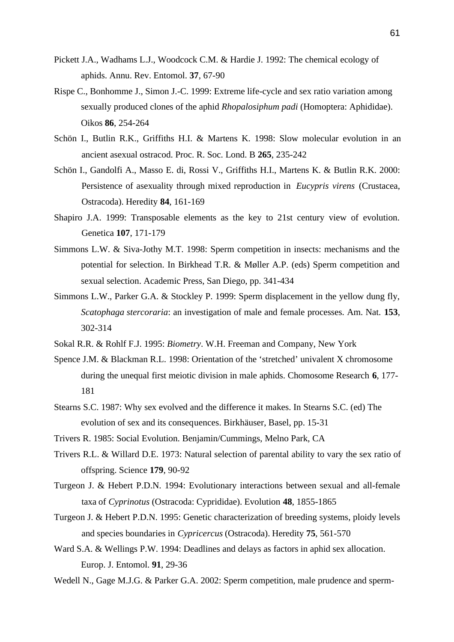- Pickett J.A., Wadhams L.J., Woodcock C.M. & Hardie J. 1992: The chemical ecology of aphids. Annu. Rev. Entomol. **37**, 67-90
- Rispe C., Bonhomme J., Simon J.-C. 1999: Extreme life-cycle and sex ratio variation among sexually produced clones of the aphid *Rhopalosiphum padi* (Homoptera: Aphididae). Oikos **86**, 254-264
- Schön I., Butlin R.K., Griffiths H.I. & Martens K. 1998: Slow molecular evolution in an ancient asexual ostracod. Proc. R. Soc. Lond. B **265**, 235-242
- Schön I., Gandolfi A., Masso E. di, Rossi V., Griffiths H.I., Martens K. & Butlin R.K. 2000: Persistence of asexuality through mixed reproduction in *Eucypris virens* (Crustacea, Ostracoda). Heredity **84**, 161-169
- Shapiro J.A. 1999: Transposable elements as the key to 21st century view of evolution. Genetica **107**, 171-179
- Simmons L.W. & Siva-Jothy M.T. 1998: Sperm competition in insects: mechanisms and the potential for selection. In Birkhead T.R. & Møller A.P. (eds) Sperm competition and sexual selection. Academic Press, San Diego, pp. 341-434
- Simmons L.W., Parker G.A. & Stockley P. 1999: Sperm displacement in the yellow dung fly, *Scatophaga stercoraria*: an investigation of male and female processes. Am. Nat. **153**, 302-314
- Sokal R.R. & Rohlf F.J. 1995: *Biometry*. W.H. Freeman and Company, New York
- Spence J.M. & Blackman R.L. 1998: Orientation of the 'stretched' univalent X chromosome during the unequal first meiotic division in male aphids. Chomosome Research **6**, 177- 181
- Stearns S.C. 1987: Why sex evolved and the difference it makes. In Stearns S.C. (ed) The evolution of sex and its consequences. Birkhäuser, Basel, pp. 15-31
- Trivers R. 1985: Social Evolution. Benjamin/Cummings, Melno Park, CA
- Trivers R.L. & Willard D.E. 1973: Natural selection of parental ability to vary the sex ratio of offspring. Science **179**, 90-92
- Turgeon J. & Hebert P.D.N. 1994: Evolutionary interactions between sexual and all-female taxa of *Cyprinotus* (Ostracoda: Cyprididae). Evolution **48**, 1855-1865
- Turgeon J. & Hebert P.D.N. 1995: Genetic characterization of breeding systems, ploidy levels and species boundaries in *Cypricercus* (Ostracoda). Heredity **75**, 561-570
- Ward S.A. & Wellings P.W. 1994: Deadlines and delays as factors in aphid sex allocation. Europ. J. Entomol. **91**, 29-36
- Wedell N., Gage M.J.G. & Parker G.A. 2002: Sperm competition, male prudence and sperm-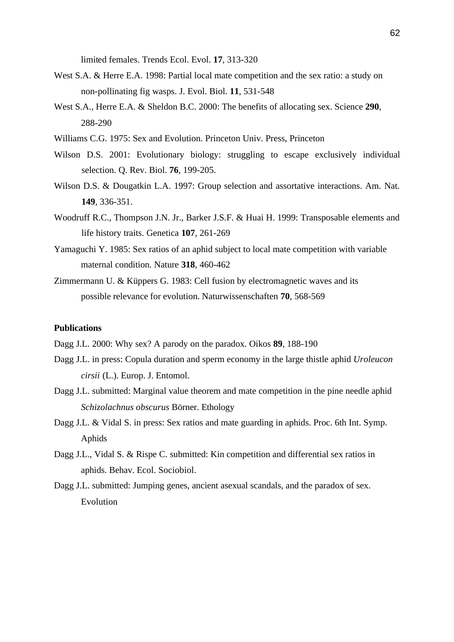limited females. Trends Ecol. Evol. **17**, 313-320

- West S.A. & Herre E.A. 1998: Partial local mate competition and the sex ratio: a study on non-pollinating fig wasps. J. Evol. Biol. **11**, 531-548
- West S.A., Herre E.A. & Sheldon B.C. 2000: The benefits of allocating sex. Science **290**, 288-290
- Williams C.G. 1975: Sex and Evolution. Princeton Univ. Press, Princeton
- Wilson D.S. 2001: Evolutionary biology: struggling to escape exclusively individual selection. Q. Rev. Biol. **76**, 199-205.
- Wilson D.S. & Dougatkin L.A. 1997: Group selection and assortative interactions. Am. Nat. **149**, 336-351.
- Woodruff R.C., Thompson J.N. Jr., Barker J.S.F. & Huai H. 1999: Transposable elements and life history traits. Genetica **107**, 261-269
- Yamaguchi Y. 1985: Sex ratios of an aphid subject to local mate competition with variable maternal condition. Nature **318**, 460-462
- Zimmermann U. & Küppers G. 1983: Cell fusion by electromagnetic waves and its possible relevance for evolution. Naturwissenschaften **70**, 568-569

#### **Publications**

Dagg J.L. 2000: Why sex? A parody on the paradox. Oikos **89**, 188-190

- Dagg J.L. in press: Copula duration and sperm economy in the large thistle aphid *Uroleucon cirsii* (L.). Europ. J. Entomol.
- Dagg J.L. submitted: Marginal value theorem and mate competition in the pine needle aphid *Schizolachnus obscurus* Börner. Ethology
- Dagg J.L. & Vidal S. in press: Sex ratios and mate guarding in aphids. Proc. 6th Int. Symp. Aphids
- Dagg J.L., Vidal S. & Rispe C. submitted: Kin competition and differential sex ratios in aphids. Behav. Ecol. Sociobiol.
- Dagg J.L. submitted: Jumping genes, ancient asexual scandals, and the paradox of sex. Evolution